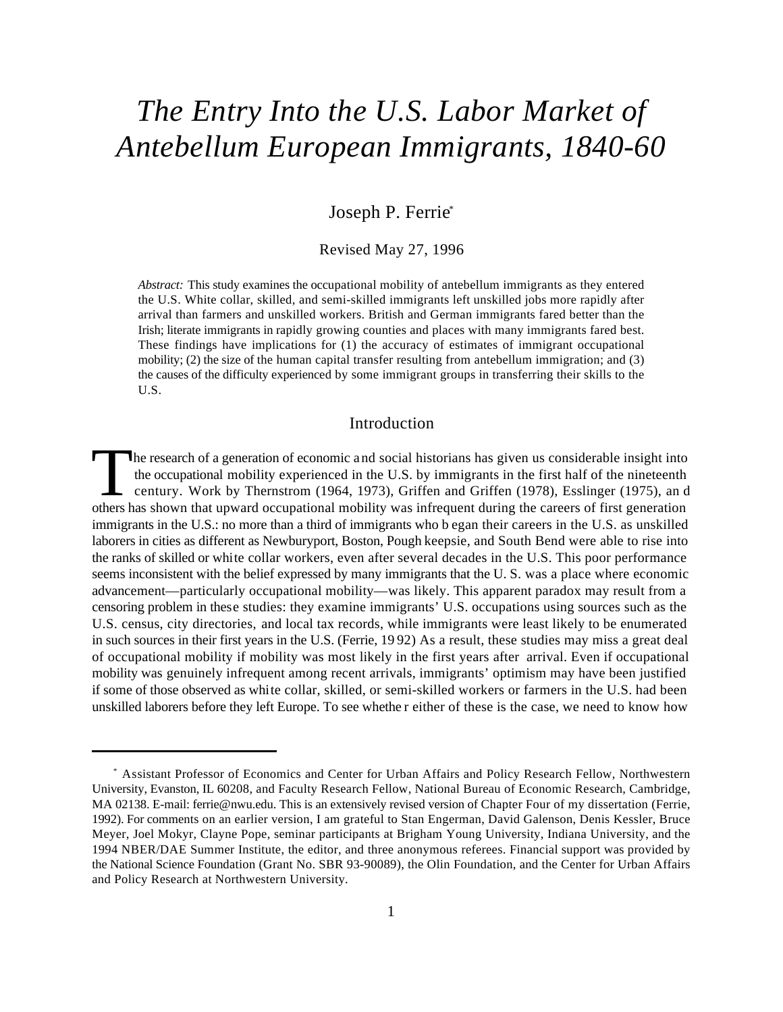# *The Entry Into the U.S. Labor Market of Antebellum European Immigrants, 1840-60*

# Joseph P. Ferrie\*

#### Revised May 27, 1996

*Abstract:* This study examines the occupational mobility of antebellum immigrants as they entered the U.S. White collar, skilled, and semi-skilled immigrants left unskilled jobs more rapidly after arrival than farmers and unskilled workers. British and German immigrants fared better than the Irish; literate immigrants in rapidly growing counties and places with many immigrants fared best. These findings have implications for (1) the accuracy of estimates of immigrant occupational mobility; (2) the size of the human capital transfer resulting from antebellum immigration; and (3) the causes of the difficulty experienced by some immigrant groups in transferring their skills to the U.S.

## Introduction

The research of a generation of economic and social historians has given us considerable insight into the occupational mobility experienced in the U.S. by immigrants in the first half of the nineteenth century. Work by Thernstrom (1964, 1973), Griffen and Griffen (1978), Esslinger (1975), an d others has shown that upward occupational mobility was infrequent during the careers of first generation immigrants in the U.S.: no more than a third of immigrants who b egan their careers in the U.S. as unskilled laborers in cities as different as Newburyport, Boston, Pough keepsie, and South Bend were able to rise into the ranks of skilled or white collar workers, even after several decades in the U.S. This poor performance seems inconsistent with the belief expressed by many immigrants that the U. S. was a place where economic advancement—particularly occupational mobility—was likely. This apparent paradox may result from a censoring problem in these studies: they examine immigrants' U.S. occupations using sources such as the U.S. census, city directories, and local tax records, while immigrants were least likely to be enumerated in such sources in their first years in the U.S. (Ferrie, 19 92) As a result, these studies may miss a great deal of occupational mobility if mobility was most likely in the first years after arrival. Even if occupational mobility was genuinely infrequent among recent arrivals, immigrants' optimism may have been justified if some of those observed as white collar, skilled, or semi-skilled workers or farmers in the U.S. had been unskilled laborers before they left Europe. To see whethe r either of these is the case, we need to know how

Assistant Professor of Economics and Center for Urban Affairs and Policy Research Fellow, Northwestern \* University, Evanston, IL 60208, and Faculty Research Fellow, National Bureau of Economic Research, Cambridge, MA 02138. E-mail: ferrie@nwu.edu. This is an extensively revised version of Chapter Four of my dissertation (Ferrie, 1992). For comments on an earlier version, I am grateful to Stan Engerman, David Galenson, Denis Kessler, Bruce Meyer, Joel Mokyr, Clayne Pope, seminar participants at Brigham Young University, Indiana University, and the 1994 NBER/DAE Summer Institute, the editor, and three anonymous referees. Financial support was provided by the National Science Foundation (Grant No. SBR 93-90089), the Olin Foundation, and the Center for Urban Affairs and Policy Research at Northwestern University.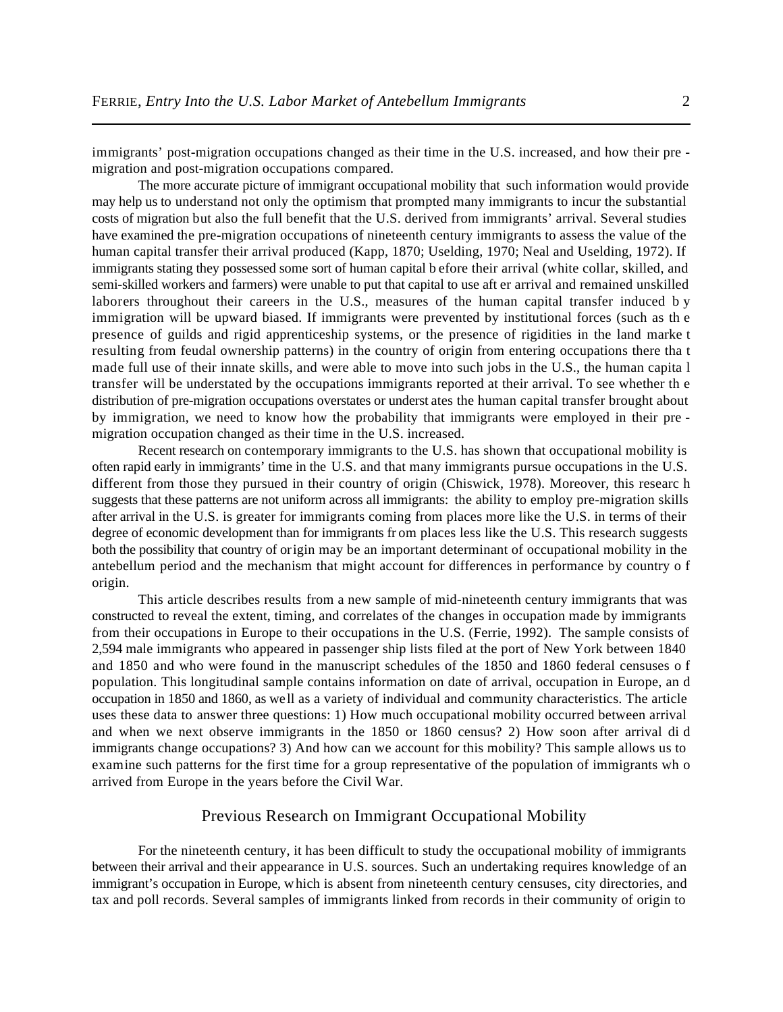immigrants' post-migration occupations changed as their time in the U.S. increased, and how their pre migration and post-migration occupations compared.

The more accurate picture of immigrant occupational mobility that such information would provide may help us to understand not only the optimism that prompted many immigrants to incur the substantial costs of migration but also the full benefit that the U.S. derived from immigrants' arrival. Several studies have examined the pre-migration occupations of nineteenth century immigrants to assess the value of the human capital transfer their arrival produced (Kapp, 1870; Uselding, 1970; Neal and Uselding, 1972). If immigrants stating they possessed some sort of human capital b efore their arrival (white collar, skilled, and semi-skilled workers and farmers) were unable to put that capital to use aft er arrival and remained unskilled laborers throughout their careers in the U.S., measures of the human capital transfer induced by immigration will be upward biased. If immigrants were prevented by institutional forces (such as th e presence of guilds and rigid apprenticeship systems, or the presence of rigidities in the land marke t resulting from feudal ownership patterns) in the country of origin from entering occupations there tha t made full use of their innate skills, and were able to move into such jobs in the U.S., the human capita l transfer will be understated by the occupations immigrants reported at their arrival. To see whether th e distribution of pre-migration occupations overstates or underst ates the human capital transfer brought about by immigration, we need to know how the probability that immigrants were employed in their pre migration occupation changed as their time in the U.S. increased.

Recent research on contemporary immigrants to the U.S. has shown that occupational mobility is often rapid early in immigrants' time in the U.S. and that many immigrants pursue occupations in the U.S. different from those they pursued in their country of origin (Chiswick, 1978). Moreover, this researc h suggests that these patterns are not uniform across all immigrants: the ability to employ pre-migration skills after arrival in the U.S. is greater for immigrants coming from places more like the U.S. in terms of their degree of economic development than for immigrants fr om places less like the U.S. This research suggests both the possibility that country of origin may be an important determinant of occupational mobility in the antebellum period and the mechanism that might account for differences in performance by country o f origin.

This article describes results from a new sample of mid-nineteenth century immigrants that was constructed to reveal the extent, timing, and correlates of the changes in occupation made by immigrants from their occupations in Europe to their occupations in the U.S. (Ferrie, 1992). The sample consists of 2,594 male immigrants who appeared in passenger ship lists filed at the port of New York between 1840 and 1850 and who were found in the manuscript schedules of the 1850 and 1860 federal censuses o f population. This longitudinal sample contains information on date of arrival, occupation in Europe, an d occupation in 1850 and 1860, as well as a variety of individual and community characteristics. The article uses these data to answer three questions: 1) How much occupational mobility occurred between arrival and when we next observe immigrants in the 1850 or 1860 census? 2) How soon after arrival di d immigrants change occupations? 3) And how can we account for this mobility? This sample allows us to examine such patterns for the first time for a group representative of the population of immigrants wh o arrived from Europe in the years before the Civil War.

# Previous Research on Immigrant Occupational Mobility

For the nineteenth century, it has been difficult to study the occupational mobility of immigrants between their arrival and their appearance in U.S. sources. Such an undertaking requires knowledge of an immigrant's occupation in Europe, which is absent from nineteenth century censuses, city directories, and tax and poll records. Several samples of immigrants linked from records in their community of origin to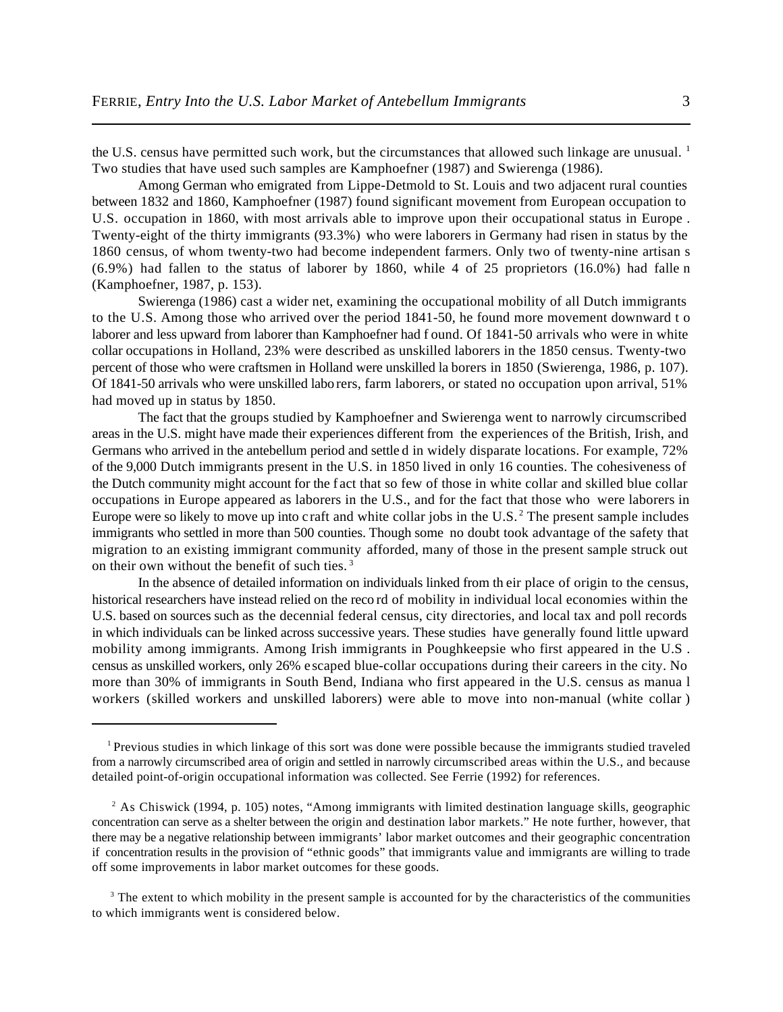the U.S. census have permitted such work, but the circumstances that allowed such linkage are unusual. <sup>1</sup> Two studies that have used such samples are Kamphoefner (1987) and Swierenga (1986).

Among German who emigrated from Lippe-Detmold to St. Louis and two adjacent rural counties between 1832 and 1860, Kamphoefner (1987) found significant movement from European occupation to U.S. occupation in 1860, with most arrivals able to improve upon their occupational status in Europe . Twenty-eight of the thirty immigrants (93.3%) who were laborers in Germany had risen in status by the 1860 census, of whom twenty-two had become independent farmers. Only two of twenty-nine artisan s (6.9%) had fallen to the status of laborer by 1860, while 4 of 25 proprietors (16.0%) had falle n (Kamphoefner, 1987, p. 153).

Swierenga (1986) cast a wider net, examining the occupational mobility of all Dutch immigrants to the U.S. Among those who arrived over the period 1841-50, he found more movement downward t o laborer and less upward from laborer than Kamphoefner had f ound. Of 1841-50 arrivals who were in white collar occupations in Holland, 23% were described as unskilled laborers in the 1850 census. Twenty-two percent of those who were craftsmen in Holland were unskilled la borers in 1850 (Swierenga, 1986, p. 107). Of 1841-50 arrivals who were unskilled laborers, farm laborers, or stated no occupation upon arrival, 51% had moved up in status by 1850.

The fact that the groups studied by Kamphoefner and Swierenga went to narrowly circumscribed areas in the U.S. might have made their experiences different from the experiences of the British, Irish, and Germans who arrived in the antebellum period and settle d in widely disparate locations. For example, 72% of the 9,000 Dutch immigrants present in the U.S. in 1850 lived in only 16 counties. The cohesiveness of the Dutch community might account for the f act that so few of those in white collar and skilled blue collar occupations in Europe appeared as laborers in the U.S., and for the fact that those who were laborers in Europe were so likely to move up into craft and white collar jobs in the U.S.<sup>2</sup> The present sample includes immigrants who settled in more than 500 counties. Though some no doubt took advantage of the safety that migration to an existing immigrant community afforded, many of those in the present sample struck out on their own without the benefit of such ties. <sup>3</sup>

In the absence of detailed information on individuals linked from th eir place of origin to the census, historical researchers have instead relied on the reco rd of mobility in individual local economies within the U.S. based on sources such as the decennial federal census, city directories, and local tax and poll records in which individuals can be linked across successive years. These studies have generally found little upward mobility among immigrants. Among Irish immigrants in Poughkeepsie who first appeared in the U.S . census as unskilled workers, only 26% escaped blue-collar occupations during their careers in the city. No more than 30% of immigrants in South Bend, Indiana who first appeared in the U.S. census as manua l workers (skilled workers and unskilled laborers) were able to move into non-manual (white collar )

<sup>&</sup>lt;sup>1</sup> Previous studies in which linkage of this sort was done were possible because the immigrants studied traveled from a narrowly circumscribed area of origin and settled in narrowly circumscribed areas within the U.S., and because detailed point-of-origin occupational information was collected. See Ferrie (1992) for references.

<sup>&</sup>lt;sup>2</sup> As Chiswick (1994, p. 105) notes, "Among immigrants with limited destination language skills, geographic concentration can serve as a shelter between the origin and destination labor markets." He note further, however, that there may be a negative relationship between immigrants' labor market outcomes and their geographic concentration if concentration results in the provision of "ethnic goods" that immigrants value and immigrants are willing to trade off some improvements in labor market outcomes for these goods.

<sup>&</sup>lt;sup>3</sup> The extent to which mobility in the present sample is accounted for by the characteristics of the communities to which immigrants went is considered below.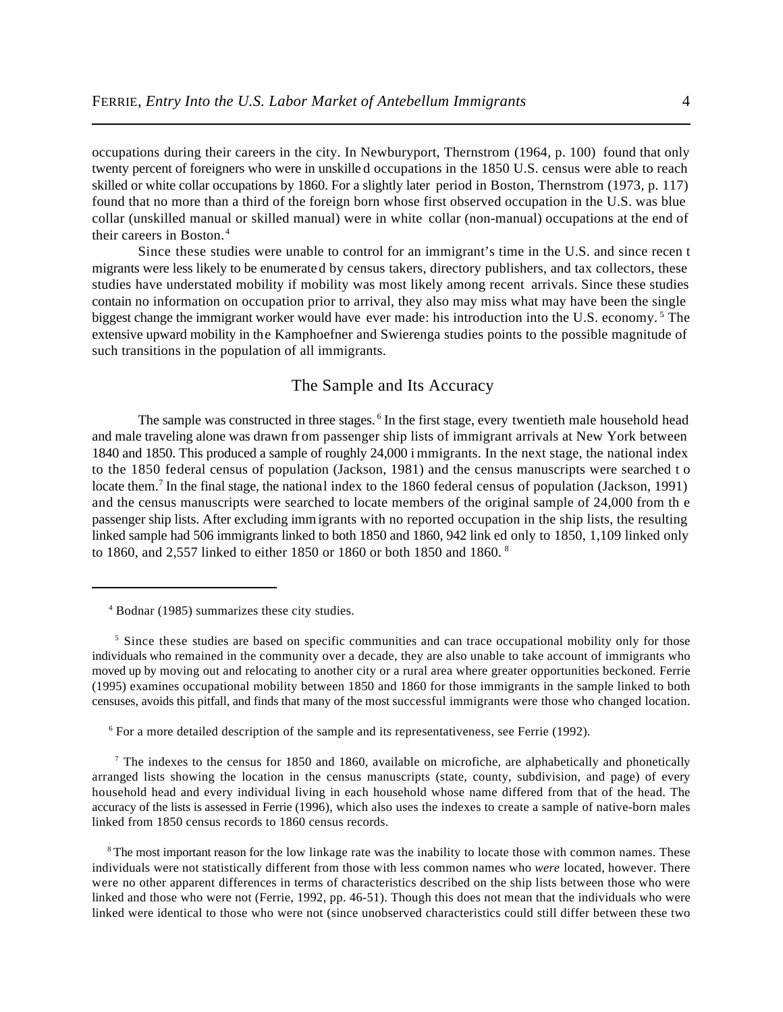occupations during their careers in the city. In Newburyport, Thernstrom (1964, p. 100) found that only twenty percent of foreigners who were in unskille d occupations in the 1850 U.S. census were able to reach skilled or white collar occupations by 1860. For a slightly later period in Boston, Thernstrom (1973, p. 117) found that no more than a third of the foreign born whose first observed occupation in the U.S. was blue collar (unskilled manual or skilled manual) were in white collar (non-manual) occupations at the end of their careers in Boston.<sup>4</sup>

Since these studies were unable to control for an immigrant's time in the U.S. and since recen t migrants were less likely to be enumerated by census takers, directory publishers, and tax collectors, these studies have understated mobility if mobility was most likely among recent arrivals. Since these studies contain no information on occupation prior to arrival, they also may miss what may have been the single biggest change the immigrant worker would have ever made: his introduction into the U.S. economy.<sup>5</sup> The extensive upward mobility in the Kamphoefner and Swierenga studies points to the possible magnitude of such transitions in the population of all immigrants.

### The Sample and Its Accuracy

The sample was constructed in three stages.<sup>6</sup> In the first stage, every twentieth male household head and male traveling alone was drawn from passenger ship lists of immigrant arrivals at New York between 1840 and 1850. This produced a sample of roughly 24,000 i mmigrants. In the next stage, the national index to the 1850 federal census of population (Jackson, 1981) and the census manuscripts were searched t o locate them.<sup>7</sup> In the final stage, the national index to the 1860 federal census of population (Jackson, 1991) and the census manuscripts were searched to locate members of the original sample of 24,000 from th e passenger ship lists. After excluding immigrants with no reported occupation in the ship lists, the resulting linked sample had 506 immigrants linked to both 1850 and 1860, 942 link ed only to 1850, 1,109 linked only to 1860, and 2,557 linked to either 1850 or 1860 or both 1850 and 1860. <sup>8</sup>

 $6$  For a more detailed description of the sample and its representativeness, see Ferrie (1992).

<sup>7</sup> The indexes to the census for 1850 and 1860, available on microfiche, are alphabetically and phonetically arranged lists showing the location in the census manuscripts (state, county, subdivision, and page) of every household head and every individual living in each household whose name differed from that of the head. The accuracy of the lists is assessed in Ferrie (1996), which also uses the indexes to create a sample of native-born males linked from 1850 census records to 1860 census records.

<sup>8</sup>The most important reason for the low linkage rate was the inability to locate those with common names. These individuals were not statistically different from those with less common names who *were* located, however. There were no other apparent differences in terms of characteristics described on the ship lists between those who were linked and those who were not (Ferrie, 1992, pp. 46-51). Though this does not mean that the individuals who were linked were identical to those who were not (since unobserved characteristics could still differ between these two

Bodnar (1985) summarizes these city studies. <sup>4</sup>

<sup>&</sup>lt;sup>5</sup> Since these studies are based on specific communities and can trace occupational mobility only for those individuals who remained in the community over a decade, they are also unable to take account of immigrants who moved up by moving out and relocating to another city or a rural area where greater opportunities beckoned. Ferrie (1995) examines occupational mobility between 1850 and 1860 for those immigrants in the sample linked to both censuses, avoids this pitfall, and finds that many of the most successful immigrants were those who changed location.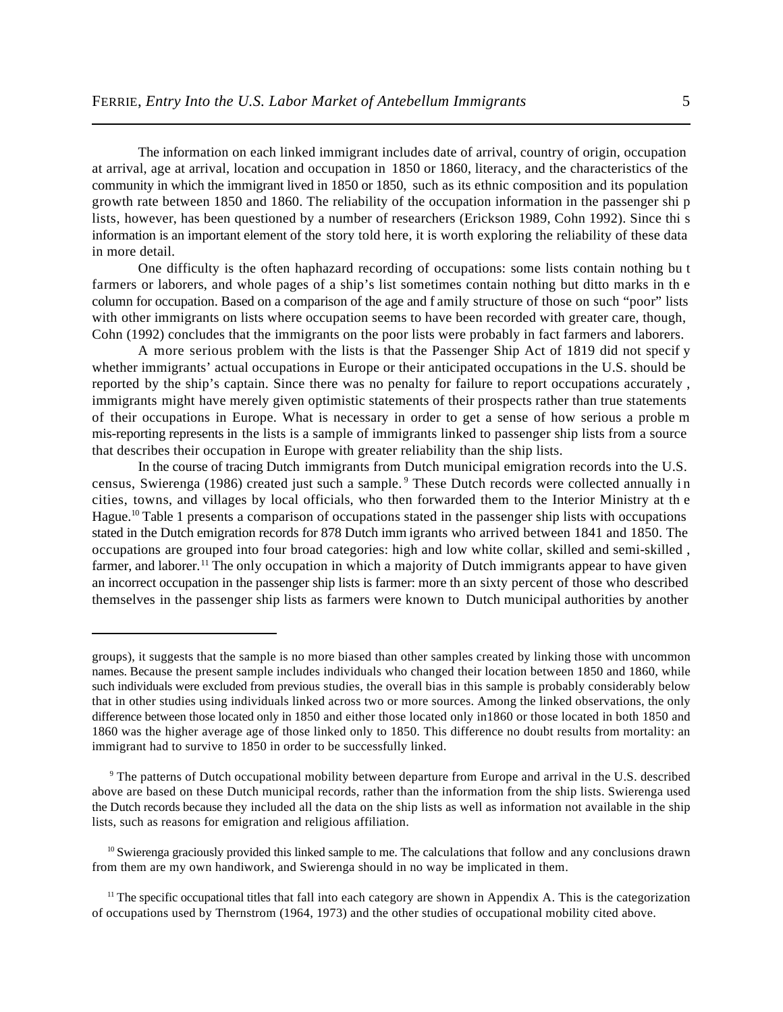The information on each linked immigrant includes date of arrival, country of origin, occupation at arrival, age at arrival, location and occupation in 1850 or 1860, literacy, and the characteristics of the community in which the immigrant lived in 1850 or 1850, such as its ethnic composition and its population growth rate between 1850 and 1860. The reliability of the occupation information in the passenger shi p lists, however, has been questioned by a number of researchers (Erickson 1989, Cohn 1992). Since thi s information is an important element of the story told here, it is worth exploring the reliability of these data in more detail.

One difficulty is the often haphazard recording of occupations: some lists contain nothing bu t farmers or laborers, and whole pages of a ship's list sometimes contain nothing but ditto marks in th e column for occupation. Based on a comparison of the age and f amily structure of those on such "poor" lists with other immigrants on lists where occupation seems to have been recorded with greater care, though, Cohn (1992) concludes that the immigrants on the poor lists were probably in fact farmers and laborers.

A more serious problem with the lists is that the Passenger Ship Act of 1819 did not specif y whether immigrants' actual occupations in Europe or their anticipated occupations in the U.S. should be reported by the ship's captain. Since there was no penalty for failure to report occupations accurately , immigrants might have merely given optimistic statements of their prospects rather than true statements of their occupations in Europe. What is necessary in order to get a sense of how serious a proble m mis-reporting represents in the lists is a sample of immigrants linked to passenger ship lists from a source that describes their occupation in Europe with greater reliability than the ship lists.

In the course of tracing Dutch immigrants from Dutch municipal emigration records into the U.S. census, Swierenga (1986) created just such a sample.<sup>9</sup> These Dutch records were collected annually in cities, towns, and villages by local officials, who then forwarded them to the Interior Ministry at th e Hague.<sup>10</sup> Table 1 presents a comparison of occupations stated in the passenger ship lists with occupations stated in the Dutch emigration records for 878 Dutch imm igrants who arrived between 1841 and 1850. The occupations are grouped into four broad categories: high and low white collar, skilled and semi-skilled , farmer, and laborer.<sup>11</sup> The only occupation in which a majority of Dutch immigrants appear to have given an incorrect occupation in the passenger ship lists is farmer: more th an sixty percent of those who described themselves in the passenger ship lists as farmers were known to Dutch municipal authorities by another

<sup>9</sup> The patterns of Dutch occupational mobility between departure from Europe and arrival in the U.S. described above are based on these Dutch municipal records, rather than the information from the ship lists. Swierenga used the Dutch records because they included all the data on the ship lists as well as information not available in the ship lists, such as reasons for emigration and religious affiliation.

 $^{10}$  Swierenga graciously provided this linked sample to me. The calculations that follow and any conclusions drawn from them are my own handiwork, and Swierenga should in no way be implicated in them.

groups), it suggests that the sample is no more biased than other samples created by linking those with uncommon names. Because the present sample includes individuals who changed their location between 1850 and 1860, while such individuals were excluded from previous studies, the overall bias in this sample is probably considerably below that in other studies using individuals linked across two or more sources. Among the linked observations, the only difference between those located only in 1850 and either those located only in1860 or those located in both 1850 and 1860 was the higher average age of those linked only to 1850. This difference no doubt results from mortality: an immigrant had to survive to 1850 in order to be successfully linked.

 $<sup>11</sup>$  The specific occupational titles that fall into each category are shown in Appendix A. This is the categorization</sup> of occupations used by Thernstrom (1964, 1973) and the other studies of occupational mobility cited above.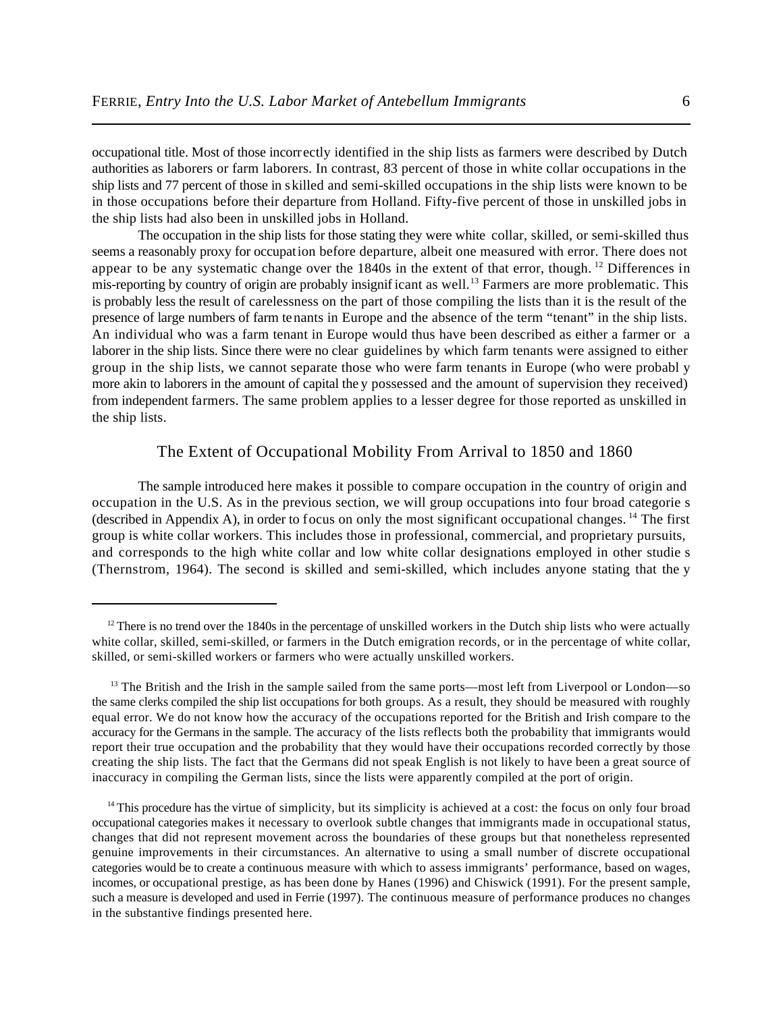occupational title. Most of those incorrectly identified in the ship lists as farmers were described by Dutch authorities as laborers or farm laborers. In contrast, 83 percent of those in white collar occupations in the ship lists and 77 percent of those in skilled and semi-skilled occupations in the ship lists were known to be in those occupations before their departure from Holland. Fifty-five percent of those in unskilled jobs in the ship lists had also been in unskilled jobs in Holland.

The occupation in the ship lists for those stating they were white collar, skilled, or semi-skilled thus seems a reasonably proxy for occupation before departure, albeit one measured with error. There does not appear to be any systematic change over the  $1840s$  in the extent of that error, though.<sup>12</sup> Differences in mis-reporting by country of origin are probably insignificant as well.<sup>13</sup> Farmers are more problematic. This is probably less the result of carelessness on the part of those compiling the lists than it is the result of the presence of large numbers of farm tenants in Europe and the absence of the term "tenant" in the ship lists. An individual who was a farm tenant in Europe would thus have been described as either a farmer or a laborer in the ship lists. Since there were no clear guidelines by which farm tenants were assigned to either group in the ship lists, we cannot separate those who were farm tenants in Europe (who were probabl y more akin to laborers in the amount of capital the y possessed and the amount of supervision they received) from independent farmers. The same problem applies to a lesser degree for those reported as unskilled in the ship lists.

# The Extent of Occupational Mobility From Arrival to 1850 and 1860

The sample introduced here makes it possible to compare occupation in the country of origin and occupation in the U.S. As in the previous section, we will group occupations into four broad categorie s (described in Appendix A), in order to focus on only the most significant occupational changes.  $^{14}$  The first group is white collar workers. This includes those in professional, commercial, and proprietary pursuits, and corresponds to the high white collar and low white collar designations employed in other studie s (Thernstrom, 1964). The second is skilled and semi-skilled, which includes anyone stating that the y

 $12$  There is no trend over the 1840s in the percentage of unskilled workers in the Dutch ship lists who were actually white collar, skilled, semi-skilled, or farmers in the Dutch emigration records, or in the percentage of white collar, skilled, or semi-skilled workers or farmers who were actually unskilled workers.

 $13$  The British and the Irish in the sample sailed from the same ports—most left from Liverpool or London—so the same clerks compiled the ship list occupations for both groups. As a result, they should be measured with roughly equal error. We do not know how the accuracy of the occupations reported for the British and Irish compare to the accuracy for the Germans in the sample. The accuracy of the lists reflects both the probability that immigrants would report their true occupation and the probability that they would have their occupations recorded correctly by those creating the ship lists. The fact that the Germans did not speak English is not likely to have been a great source of inaccuracy in compiling the German lists, since the lists were apparently compiled at the port of origin.

 $14$  This procedure has the virtue of simplicity, but its simplicity is achieved at a cost: the focus on only four broad occupational categories makes it necessary to overlook subtle changes that immigrants made in occupational status, changes that did not represent movement across the boundaries of these groups but that nonetheless represented genuine improvements in their circumstances. An alternative to using a small number of discrete occupational categories would be to create a continuous measure with which to assess immigrants' performance, based on wages, incomes, or occupational prestige, as has been done by Hanes (1996) and Chiswick (1991). For the present sample, such a measure is developed and used in Ferrie (1997). The continuous measure of performance produces no changes in the substantive findings presented here.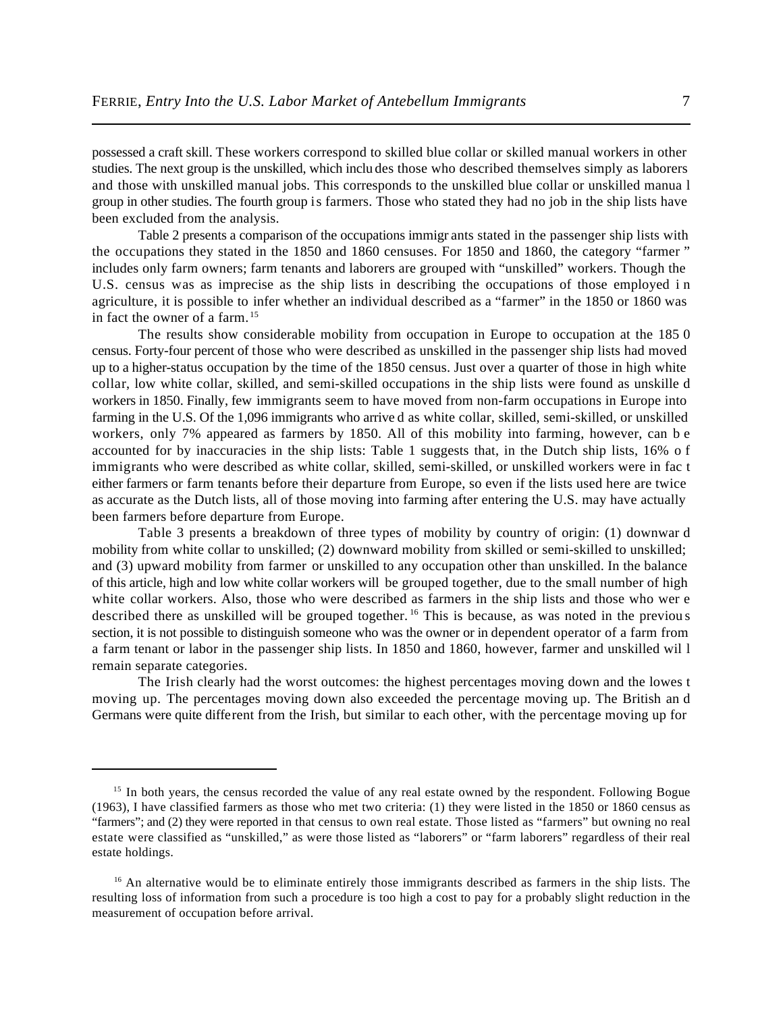possessed a craft skill. These workers correspond to skilled blue collar or skilled manual workers in other studies. The next group is the unskilled, which inclu des those who described themselves simply as laborers and those with unskilled manual jobs. This corresponds to the unskilled blue collar or unskilled manua l group in other studies. The fourth group is farmers. Those who stated they had no job in the ship lists have been excluded from the analysis.

Table 2 presents a comparison of the occupations immigr ants stated in the passenger ship lists with the occupations they stated in the 1850 and 1860 censuses. For 1850 and 1860, the category "farmer " includes only farm owners; farm tenants and laborers are grouped with "unskilled" workers. Though the U.S. census was as imprecise as the ship lists in describing the occupations of those employed i n agriculture, it is possible to infer whether an individual described as a "farmer" in the 1850 or 1860 was in fact the owner of a farm. <sup>15</sup>

The results show considerable mobility from occupation in Europe to occupation at the 185 0 census. Forty-four percent of those who were described as unskilled in the passenger ship lists had moved up to a higher-status occupation by the time of the 1850 census. Just over a quarter of those in high white collar, low white collar, skilled, and semi-skilled occupations in the ship lists were found as unskille d workers in 1850. Finally, few immigrants seem to have moved from non-farm occupations in Europe into farming in the U.S. Of the 1,096 immigrants who arrive d as white collar, skilled, semi-skilled, or unskilled workers, only 7% appeared as farmers by 1850. All of this mobility into farming, however, can b e accounted for by inaccuracies in the ship lists: Table 1 suggests that, in the Dutch ship lists, 16% o f immigrants who were described as white collar, skilled, semi-skilled, or unskilled workers were in fac t either farmers or farm tenants before their departure from Europe, so even if the lists used here are twice as accurate as the Dutch lists, all of those moving into farming after entering the U.S. may have actually been farmers before departure from Europe.

Table 3 presents a breakdown of three types of mobility by country of origin: (1) downwar d mobility from white collar to unskilled; (2) downward mobility from skilled or semi-skilled to unskilled; and (3) upward mobility from farmer or unskilled to any occupation other than unskilled. In the balance of this article, high and low white collar workers will be grouped together, due to the small number of high white collar workers. Also, those who were described as farmers in the ship lists and those who wer e described there as unskilled will be grouped together.<sup>16</sup> This is because, as was noted in the previous section, it is not possible to distinguish someone who was the owner or in dependent operator of a farm from a farm tenant or labor in the passenger ship lists. In 1850 and 1860, however, farmer and unskilled wil l remain separate categories.

The Irish clearly had the worst outcomes: the highest percentages moving down and the lowes t moving up. The percentages moving down also exceeded the percentage moving up. The British an d Germans were quite different from the Irish, but similar to each other, with the percentage moving up for

<sup>&</sup>lt;sup>15</sup> In both years, the census recorded the value of any real estate owned by the respondent. Following Bogue (1963), I have classified farmers as those who met two criteria: (1) they were listed in the 1850 or 1860 census as "farmers"; and (2) they were reported in that census to own real estate. Those listed as "farmers" but owning no real estate were classified as "unskilled," as were those listed as "laborers" or "farm laborers" regardless of their real estate holdings.

<sup>&</sup>lt;sup>16</sup> An alternative would be to eliminate entirely those immigrants described as farmers in the ship lists. The resulting loss of information from such a procedure is too high a cost to pay for a probably slight reduction in the measurement of occupation before arrival.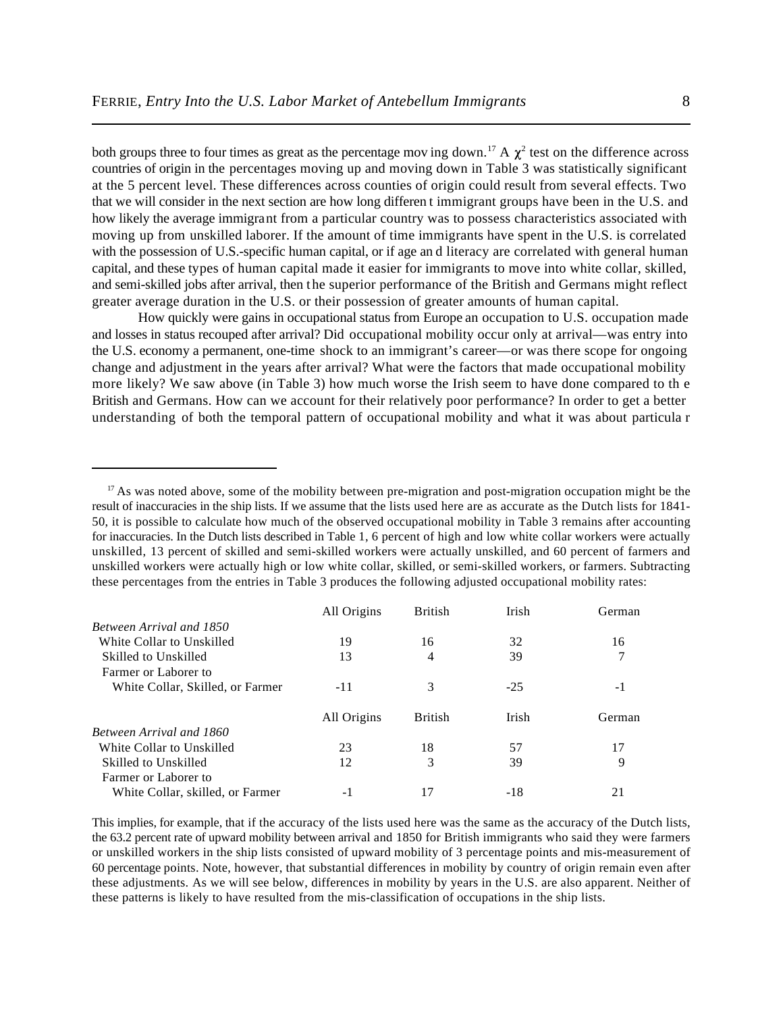both groups three to four times as great as the percentage mov ing down.<sup>17</sup> A  $\chi^2$  test on the difference across countries of origin in the percentages moving up and moving down in Table 3 was statistically significant at the 5 percent level. These differences across counties of origin could result from several effects. Two that we will consider in the next section are how long differen t immigrant groups have been in the U.S. and how likely the average immigrant from a particular country was to possess characteristics associated with moving up from unskilled laborer. If the amount of time immigrants have spent in the U.S. is correlated with the possession of U.S.-specific human capital, or if age and literacy are correlated with general human capital, and these types of human capital made it easier for immigrants to move into white collar, skilled, and semi-skilled jobs after arrival, then the superior performance of the British and Germans might reflect greater average duration in the U.S. or their possession of greater amounts of human capital.

How quickly were gains in occupational status from Europe an occupation to U.S. occupation made and losses in status recouped after arrival? Did occupational mobility occur only at arrival—was entry into the U.S. economy a permanent, one-time shock to an immigrant's career—or was there scope for ongoing change and adjustment in the years after arrival? What were the factors that made occupational mobility more likely? We saw above (in Table 3) how much worse the Irish seem to have done compared to th e British and Germans. How can we account for their relatively poor performance? In order to get a better understanding of both the temporal pattern of occupational mobility and what it was about particula r

 $17$  As was noted above, some of the mobility between pre-migration and post-migration occupation might be the result of inaccuracies in the ship lists. If we assume that the lists used here are as accurate as the Dutch lists for 1841- 50, it is possible to calculate how much of the observed occupational mobility in Table 3 remains after accounting for inaccuracies. In the Dutch lists described in Table 1, 6 percent of high and low white collar workers were actually unskilled, 13 percent of skilled and semi-skilled workers were actually unskilled, and 60 percent of farmers and unskilled workers were actually high or low white collar, skilled, or semi-skilled workers, or farmers. Subtracting these percentages from the entries in Table 3 produces the following adjusted occupational mobility rates:

|                                  | All Origins | <b>British</b> | Irish | German |
|----------------------------------|-------------|----------------|-------|--------|
| Between Arrival and 1850         |             |                |       |        |
| White Collar to Unskilled        | 19          | 16             | 32    | 16     |
| Skilled to Unskilled             | 13          | 4              | 39    | 7      |
| Farmer or Laborer to             |             |                |       |        |
| White Collar, Skilled, or Farmer | $-11$       | 3              | $-25$ | - 1    |
|                                  | All Origins | <b>British</b> | Irish | German |
| Between Arrival and 1860         |             |                |       |        |
| White Collar to Unskilled        | 23          | 18             | 57    | 17     |
| Skilled to Unskilled             | 12          | 3              | 39    | 9      |
| Farmer or Laborer to             |             |                |       |        |
| White Collar, skilled, or Farmer | - 1         |                | $-18$ |        |

This implies, for example, that if the accuracy of the lists used here was the same as the accuracy of the Dutch lists, the 63.2 percent rate of upward mobility between arrival and 1850 for British immigrants who said they were farmers or unskilled workers in the ship lists consisted of upward mobility of 3 percentage points and mis-measurement of 60 percentage points. Note, however, that substantial differences in mobility by country of origin remain even after these adjustments. As we will see below, differences in mobility by years in the U.S. are also apparent. Neither of these patterns is likely to have resulted from the mis-classification of occupations in the ship lists.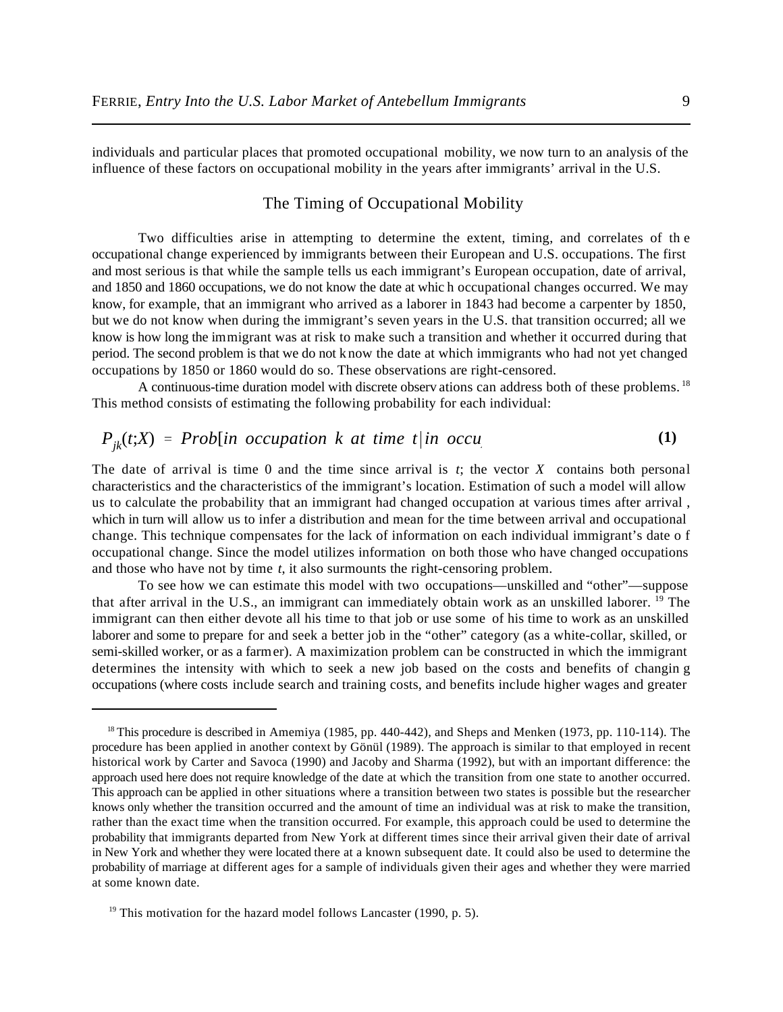individuals and particular places that promoted occupational mobility, we now turn to an analysis of the influence of these factors on occupational mobility in the years after immigrants' arrival in the U.S.

# The Timing of Occupational Mobility

Two difficulties arise in attempting to determine the extent, timing, and correlates of th e occupational change experienced by immigrants between their European and U.S. occupations. The first and most serious is that while the sample tells us each immigrant's European occupation, date of arrival, and 1850 and 1860 occupations, we do not know the date at whic h occupational changes occurred. We may know, for example, that an immigrant who arrived as a laborer in 1843 had become a carpenter by 1850, but we do not know when during the immigrant's seven years in the U.S. that transition occurred; all we know is how long the immigrant was at risk to make such a transition and whether it occurred during that period. The second problem is that we do not know the date at which immigrants who had not yet changed occupations by 1850 or 1860 would do so. These observations are right-censored.

A continuous-time duration model with discrete observ ations can address both of these problems.<sup>18</sup> This method consists of estimating the following probability for each individual:

$$
P_{jk}(t;X) = Prob(in occupation k at time t|in occur
$$
 (1)

The date of arrival is time 0 and the time since arrival is *t*; the vector *X* contains both personal characteristics and the characteristics of the immigrant's location. Estimation of such a model will allow us to calculate the probability that an immigrant had changed occupation at various times after arrival , which in turn will allow us to infer a distribution and mean for the time between arrival and occupational change. This technique compensates for the lack of information on each individual immigrant's date o f occupational change. Since the model utilizes information on both those who have changed occupations and those who have not by time *t*, it also surmounts the right-censoring problem.

To see how we can estimate this model with two occupations—unskilled and "other"—suppose that after arrival in the U.S., an immigrant can immediately obtain work as an unskilled laborer. <sup>19</sup> The immigrant can then either devote all his time to that job or use some of his time to work as an unskilled laborer and some to prepare for and seek a better job in the "other" category (as a white-collar, skilled, or semi-skilled worker, or as a farmer). A maximization problem can be constructed in which the immigrant determines the intensity with which to seek a new job based on the costs and benefits of changin g occupations (where costs include search and training costs, and benefits include higher wages and greater

<sup>&</sup>lt;sup>18</sup> This procedure is described in Amemiya (1985, pp. 440-442), and Sheps and Menken (1973, pp. 110-114). The procedure has been applied in another context by Gönül (1989). The approach is similar to that employed in recent historical work by Carter and Savoca (1990) and Jacoby and Sharma (1992), but with an important difference: the approach used here does not require knowledge of the date at which the transition from one state to another occurred. This approach can be applied in other situations where a transition between two states is possible but the researcher knows only whether the transition occurred and the amount of time an individual was at risk to make the transition, rather than the exact time when the transition occurred. For example, this approach could be used to determine the probability that immigrants departed from New York at different times since their arrival given their date of arrival in New York and whether they were located there at a known subsequent date. It could also be used to determine the probability of marriage at different ages for a sample of individuals given their ages and whether they were married at some known date.

 $19$ <sup>19</sup> This motivation for the hazard model follows Lancaster (1990, p. 5).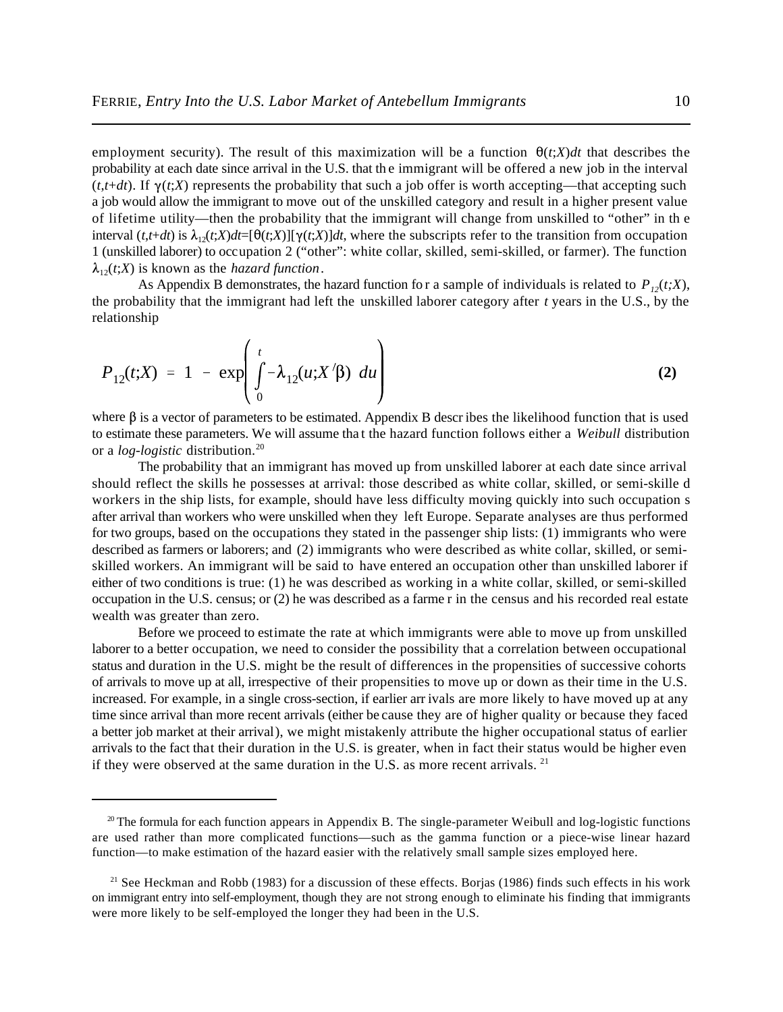employment security). The result of this maximization will be a function  $\theta(t;X)dt$  that describes the probability at each date since arrival in the U.S. that th e immigrant will be offered a new job in the interval  $(t, t+dt)$ . If  $\gamma(t, X)$  represents the probability that such a job offer is worth accepting—that accepting such a job would allow the immigrant to move out of the unskilled category and result in a higher present value of lifetime utility—then the probability that the immigrant will change from unskilled to "other" in th e interval  $(t, t+dt)$  is  $\lambda_{12}(t;X)dt = [\theta(t;X)][\gamma(t;X)]dt$ , where the subscripts refer to the transition from occupation 1 (unskilled laborer) to occupation 2 ("other": white collar, skilled, semi-skilled, or farmer). The function  $\lambda_{12}(t;X)$  is known as the *hazard function*.

As Appendix B demonstrates, the hazard function for a sample of individuals is related to  $P_{12}(t;X)$ , the probability that the immigrant had left the unskilled laborer category after *t* years in the U.S., by the relationship

$$
P_{12}(t;X) = 1 - \exp\left(\int_0^t -\lambda_{12}(u;X/\beta) \ du\right)
$$
 (2)

where  $\beta$  is a vector of parameters to be estimated. Appendix B describes the likelihood function that is used to estimate these parameters. We will assume tha t the hazard function follows either a *Weibull* distribution or a *log-logistic* distribution.<sup>20</sup>

The probability that an immigrant has moved up from unskilled laborer at each date since arrival should reflect the skills he possesses at arrival: those described as white collar, skilled, or semi-skille d workers in the ship lists, for example, should have less difficulty moving quickly into such occupation s after arrival than workers who were unskilled when they left Europe. Separate analyses are thus performed for two groups, based on the occupations they stated in the passenger ship lists: (1) immigrants who were described as farmers or laborers; and (2) immigrants who were described as white collar, skilled, or semiskilled workers. An immigrant will be said to have entered an occupation other than unskilled laborer if either of two conditions is true: (1) he was described as working in a white collar, skilled, or semi-skilled occupation in the U.S. census; or (2) he was described as a farme r in the census and his recorded real estate wealth was greater than zero.

Before we proceed to estimate the rate at which immigrants were able to move up from unskilled laborer to a better occupation, we need to consider the possibility that a correlation between occupational status and duration in the U.S. might be the result of differences in the propensities of successive cohorts of arrivals to move up at all, irrespective of their propensities to move up or down as their time in the U.S. increased. For example, in a single cross-section, if earlier arr ivals are more likely to have moved up at any time since arrival than more recent arrivals (either be cause they are of higher quality or because they faced a better job market at their arrival), we might mistakenly attribute the higher occupational status of earlier arrivals to the fact that their duration in the U.S. is greater, when in fact their status would be higher even if they were observed at the same duration in the U.S. as more recent arrivals. <sup>21</sup>

 $20$  The formula for each function appears in Appendix B. The single-parameter Weibull and log-logistic functions are used rather than more complicated functions—such as the gamma function or a piece-wise linear hazard function—to make estimation of the hazard easier with the relatively small sample sizes employed here.

 $21$  See Heckman and Robb (1983) for a discussion of these effects. Borjas (1986) finds such effects in his work on immigrant entry into self-employment, though they are not strong enough to eliminate his finding that immigrants were more likely to be self-employed the longer they had been in the U.S.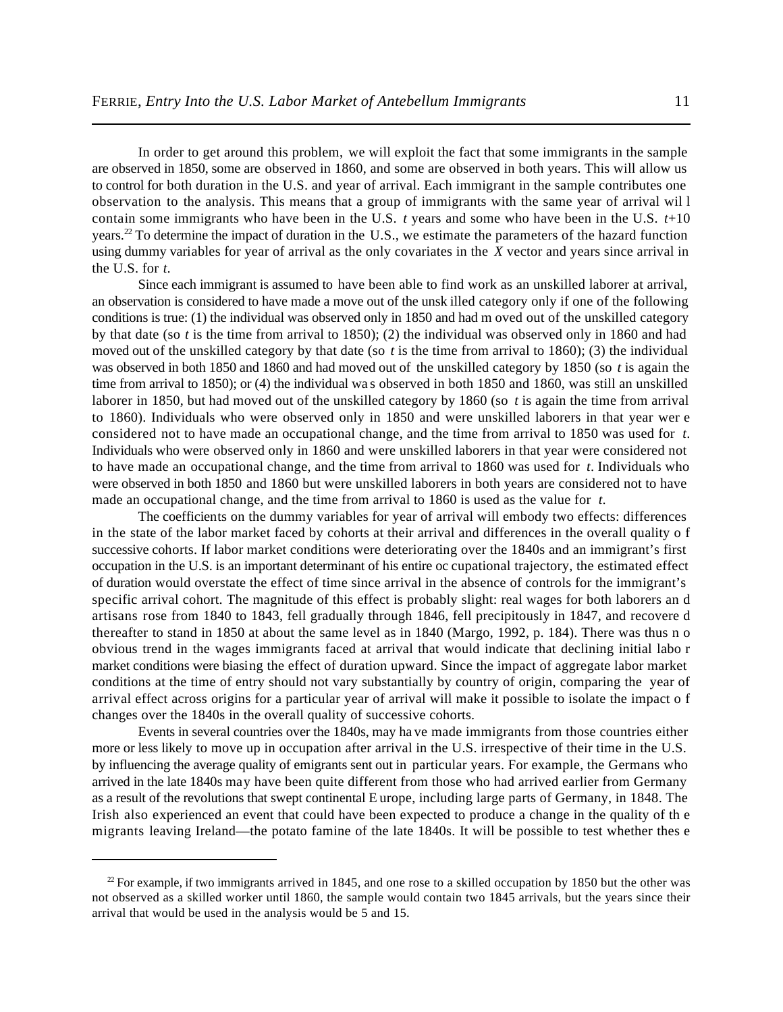In order to get around this problem, we will exploit the fact that some immigrants in the sample are observed in 1850, some are observed in 1860, and some are observed in both years. This will allow us to control for both duration in the U.S. and year of arrival. Each immigrant in the sample contributes one observation to the analysis. This means that a group of immigrants with the same year of arrival wil l contain some immigrants who have been in the U.S. *t* years and some who have been in the U.S. *t*+10 years.<sup>22</sup> To determine the impact of duration in the U.S., we estimate the parameters of the hazard function using dummy variables for year of arrival as the only covariates in the *X* vector and years since arrival in the U.S. for *t*.

Since each immigrant is assumed to have been able to find work as an unskilled laborer at arrival, an observation is considered to have made a move out of the unsk illed category only if one of the following conditions is true: (1) the individual was observed only in 1850 and had m oved out of the unskilled category by that date (so *t* is the time from arrival to 1850); (2) the individual was observed only in 1860 and had moved out of the unskilled category by that date (so *t* is the time from arrival to 1860); (3) the individual was observed in both 1850 and 1860 and had moved out of the unskilled category by 1850 (so *t* is again the time from arrival to 1850); or (4) the individual wa s observed in both 1850 and 1860, was still an unskilled laborer in 1850, but had moved out of the unskilled category by 1860 (so *t* is again the time from arrival to 1860). Individuals who were observed only in 1850 and were unskilled laborers in that year wer e considered not to have made an occupational change, and the time from arrival to 1850 was used for *t*. Individuals who were observed only in 1860 and were unskilled laborers in that year were considered not to have made an occupational change, and the time from arrival to 1860 was used for *t*. Individuals who were observed in both 1850 and 1860 but were unskilled laborers in both years are considered not to have made an occupational change, and the time from arrival to 1860 is used as the value for *t*.

The coefficients on the dummy variables for year of arrival will embody two effects: differences in the state of the labor market faced by cohorts at their arrival and differences in the overall quality o f successive cohorts. If labor market conditions were deteriorating over the 1840s and an immigrant's first occupation in the U.S. is an important determinant of his entire oc cupational trajectory, the estimated effect of duration would overstate the effect of time since arrival in the absence of controls for the immigrant's specific arrival cohort. The magnitude of this effect is probably slight: real wages for both laborers an d artisans rose from 1840 to 1843, fell gradually through 1846, fell precipitously in 1847, and recovere d thereafter to stand in 1850 at about the same level as in 1840 (Margo, 1992, p. 184). There was thus n o obvious trend in the wages immigrants faced at arrival that would indicate that declining initial labo r market conditions were biasing the effect of duration upward. Since the impact of aggregate labor market conditions at the time of entry should not vary substantially by country of origin, comparing the year of arrival effect across origins for a particular year of arrival will make it possible to isolate the impact o f changes over the 1840s in the overall quality of successive cohorts.

Events in several countries over the 1840s, may ha ve made immigrants from those countries either more or less likely to move up in occupation after arrival in the U.S. irrespective of their time in the U.S. by influencing the average quality of emigrants sent out in particular years. For example, the Germans who arrived in the late 1840s may have been quite different from those who had arrived earlier from Germany as a result of the revolutions that swept continental Europe, including large parts of Germany, in 1848. The Irish also experienced an event that could have been expected to produce a change in the quality of th e migrants leaving Ireland—the potato famine of the late 1840s. It will be possible to test whether thes e

 $22$  For example, if two immigrants arrived in 1845, and one rose to a skilled occupation by 1850 but the other was not observed as a skilled worker until 1860, the sample would contain two 1845 arrivals, but the years since their arrival that would be used in the analysis would be 5 and 15.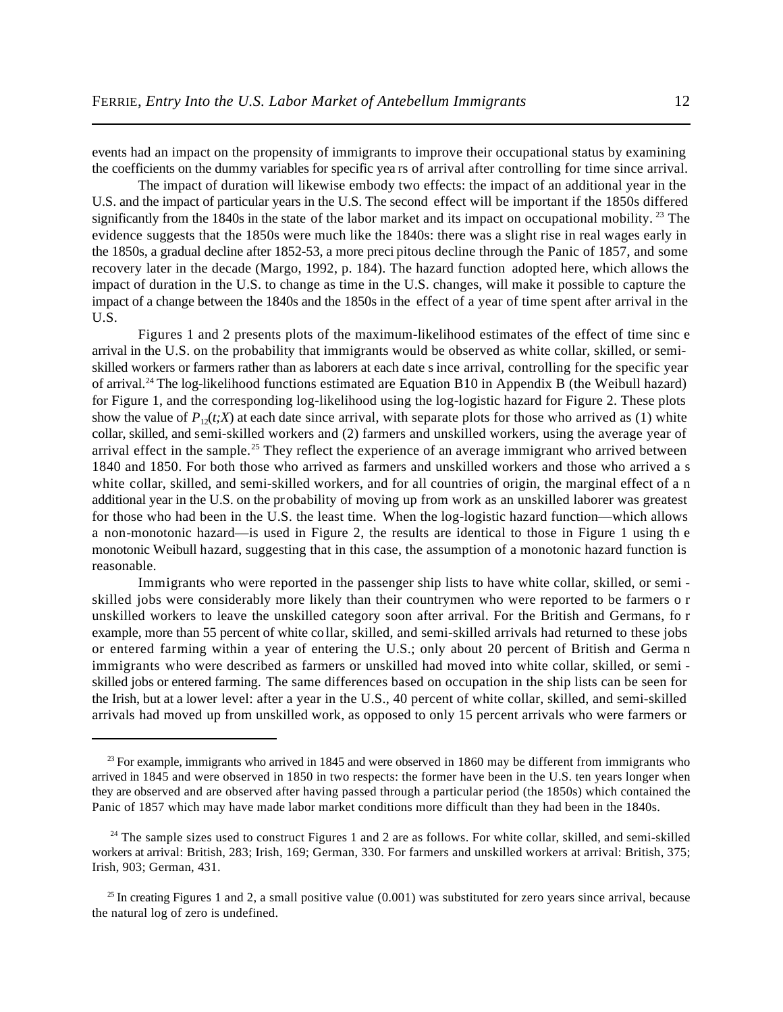events had an impact on the propensity of immigrants to improve their occupational status by examining the coefficients on the dummy variables for specific yea rs of arrival after controlling for time since arrival.

The impact of duration will likewise embody two effects: the impact of an additional year in the U.S. and the impact of particular years in the U.S. The second effect will be important if the 1850s differed significantly from the 1840s in the state of the labor market and its impact on occupational mobility.<sup>23</sup> The evidence suggests that the 1850s were much like the 1840s: there was a slight rise in real wages early in the 1850s, a gradual decline after 1852-53, a more preci pitous decline through the Panic of 1857, and some recovery later in the decade (Margo, 1992, p. 184). The hazard function adopted here, which allows the impact of duration in the U.S. to change as time in the U.S. changes, will make it possible to capture the impact of a change between the 1840s and the 1850s in the effect of a year of time spent after arrival in the U.S.

Figures 1 and 2 presents plots of the maximum-likelihood estimates of the effect of time sinc e arrival in the U.S. on the probability that immigrants would be observed as white collar, skilled, or semiskilled workers or farmers rather than as laborers at each date s ince arrival, controlling for the specific year of arrival.<sup>24</sup> The log-likelihood functions estimated are Equation B10 in Appendix B (the Weibull hazard) for Figure 1, and the corresponding log-likelihood using the log-logistic hazard for Figure 2. These plots show the value of  $P_{12}(t;X)$  at each date since arrival, with separate plots for those who arrived as (1) white collar, skilled, and semi-skilled workers and (2) farmers and unskilled workers, using the average year of arrival effect in the sample.<sup>25</sup> They reflect the experience of an average immigrant who arrived between 1840 and 1850. For both those who arrived as farmers and unskilled workers and those who arrived a s white collar, skilled, and semi-skilled workers, and for all countries of origin, the marginal effect of a n additional year in the U.S. on the probability of moving up from work as an unskilled laborer was greatest for those who had been in the U.S. the least time. When the log-logistic hazard function—which allows a non-monotonic hazard—is used in Figure 2, the results are identical to those in Figure 1 using th e monotonic Weibull hazard, suggesting that in this case, the assumption of a monotonic hazard function is reasonable.

Immigrants who were reported in the passenger ship lists to have white collar, skilled, or semi skilled jobs were considerably more likely than their countrymen who were reported to be farmers o r unskilled workers to leave the unskilled category soon after arrival. For the British and Germans, fo r example, more than 55 percent of white collar, skilled, and semi-skilled arrivals had returned to these jobs or entered farming within a year of entering the U.S.; only about 20 percent of British and Germa n immigrants who were described as farmers or unskilled had moved into white collar, skilled, or semi skilled jobs or entered farming. The same differences based on occupation in the ship lists can be seen for the Irish, but at a lower level: after a year in the U.S., 40 percent of white collar, skilled, and semi-skilled arrivals had moved up from unskilled work, as opposed to only 15 percent arrivals who were farmers or

 $^{23}$  For example, immigrants who arrived in 1845 and were observed in 1860 may be different from immigrants who arrived in 1845 and were observed in 1850 in two respects: the former have been in the U.S. ten years longer when they are observed and are observed after having passed through a particular period (the 1850s) which contained the Panic of 1857 which may have made labor market conditions more difficult than they had been in the 1840s.

 $24$  The sample sizes used to construct Figures 1 and 2 are as follows. For white collar, skilled, and semi-skilled workers at arrival: British, 283; Irish, 169; German, 330. For farmers and unskilled workers at arrival: British, 375; Irish, 903; German, 431.

<sup>&</sup>lt;sup>25</sup> In creating Figures 1 and 2, a small positive value  $(0.001)$  was substituted for zero years since arrival, because the natural log of zero is undefined.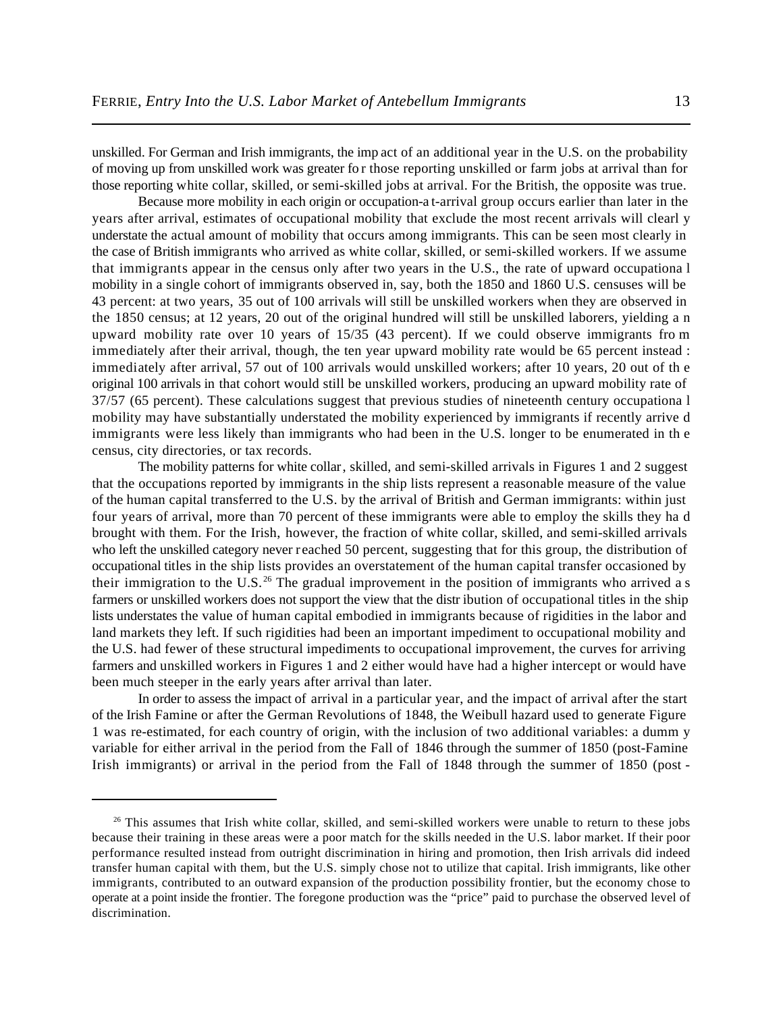unskilled. For German and Irish immigrants, the imp act of an additional year in the U.S. on the probability of moving up from unskilled work was greater fo r those reporting unskilled or farm jobs at arrival than for those reporting white collar, skilled, or semi-skilled jobs at arrival. For the British, the opposite was true.

Because more mobility in each origin or occupation-a t-arrival group occurs earlier than later in the years after arrival, estimates of occupational mobility that exclude the most recent arrivals will clearl y understate the actual amount of mobility that occurs among immigrants. This can be seen most clearly in the case of British immigrants who arrived as white collar, skilled, or semi-skilled workers. If we assume that immigrants appear in the census only after two years in the U.S., the rate of upward occupationa l mobility in a single cohort of immigrants observed in, say, both the 1850 and 1860 U.S. censuses will be 43 percent: at two years, 35 out of 100 arrivals will still be unskilled workers when they are observed in the 1850 census; at 12 years, 20 out of the original hundred will still be unskilled laborers, yielding a n upward mobility rate over 10 years of 15/35 (43 percent). If we could observe immigrants fro m immediately after their arrival, though, the ten year upward mobility rate would be 65 percent instead : immediately after arrival, 57 out of 100 arrivals would unskilled workers; after 10 years, 20 out of th e original 100 arrivals in that cohort would still be unskilled workers, producing an upward mobility rate of 37/57 (65 percent). These calculations suggest that previous studies of nineteenth century occupationa l mobility may have substantially understated the mobility experienced by immigrants if recently arrive d immigrants were less likely than immigrants who had been in the U.S. longer to be enumerated in th e census, city directories, or tax records.

The mobility patterns for white collar, skilled, and semi-skilled arrivals in Figures 1 and 2 suggest that the occupations reported by immigrants in the ship lists represent a reasonable measure of the value of the human capital transferred to the U.S. by the arrival of British and German immigrants: within just four years of arrival, more than 70 percent of these immigrants were able to employ the skills they ha d brought with them. For the Irish, however, the fraction of white collar, skilled, and semi-skilled arrivals who left the unskilled category never reached 50 percent, suggesting that for this group, the distribution of occupational titles in the ship lists provides an overstatement of the human capital transfer occasioned by their immigration to the U.S.<sup>26</sup> The gradual improvement in the position of immigrants who arrived a s farmers or unskilled workers does not support the view that the distr ibution of occupational titles in the ship lists understates the value of human capital embodied in immigrants because of rigidities in the labor and land markets they left. If such rigidities had been an important impediment to occupational mobility and the U.S. had fewer of these structural impediments to occupational improvement, the curves for arriving farmers and unskilled workers in Figures 1 and 2 either would have had a higher intercept or would have been much steeper in the early years after arrival than later.

In order to assess the impact of arrival in a particular year, and the impact of arrival after the start of the Irish Famine or after the German Revolutions of 1848, the Weibull hazard used to generate Figure 1 was re-estimated, for each country of origin, with the inclusion of two additional variables: a dumm y variable for either arrival in the period from the Fall of 1846 through the summer of 1850 (post-Famine Irish immigrants) or arrival in the period from the Fall of 1848 through the summer of 1850 (post -

<sup>&</sup>lt;sup>26</sup> This assumes that Irish white collar, skilled, and semi-skilled workers were unable to return to these jobs because their training in these areas were a poor match for the skills needed in the U.S. labor market. If their poor performance resulted instead from outright discrimination in hiring and promotion, then Irish arrivals did indeed transfer human capital with them, but the U.S. simply chose not to utilize that capital. Irish immigrants, like other immigrants, contributed to an outward expansion of the production possibility frontier, but the economy chose to operate at a point inside the frontier. The foregone production was the "price" paid to purchase the observed level of discrimination.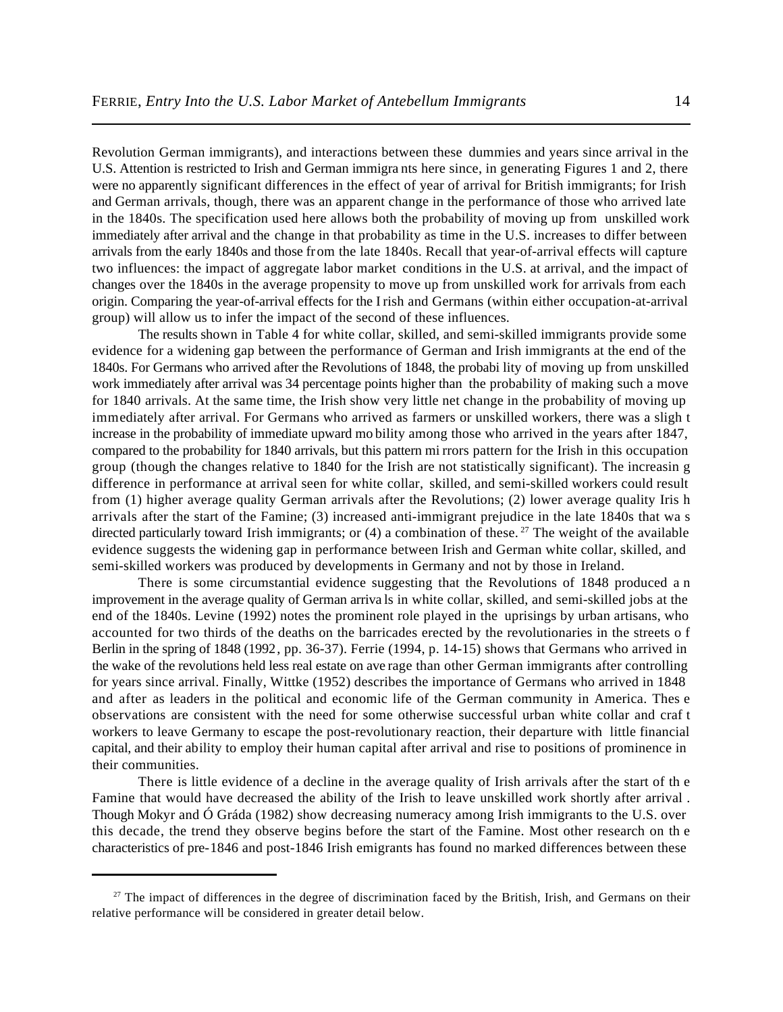Revolution German immigrants), and interactions between these dummies and years since arrival in the U.S. Attention is restricted to Irish and German immigra nts here since, in generating Figures 1 and 2, there were no apparently significant differences in the effect of year of arrival for British immigrants; for Irish and German arrivals, though, there was an apparent change in the performance of those who arrived late in the 1840s. The specification used here allows both the probability of moving up from unskilled work immediately after arrival and the change in that probability as time in the U.S. increases to differ between arrivals from the early 1840s and those from the late 1840s. Recall that year-of-arrival effects will capture two influences: the impact of aggregate labor market conditions in the U.S. at arrival, and the impact of changes over the 1840s in the average propensity to move up from unskilled work for arrivals from each origin. Comparing the year-of-arrival effects for the Irish and Germans (within either occupation-at-arrival group) will allow us to infer the impact of the second of these influences.

The results shown in Table 4 for white collar, skilled, and semi-skilled immigrants provide some evidence for a widening gap between the performance of German and Irish immigrants at the end of the 1840s. For Germans who arrived after the Revolutions of 1848, the probabi lity of moving up from unskilled work immediately after arrival was 34 percentage points higher than the probability of making such a move for 1840 arrivals. At the same time, the Irish show very little net change in the probability of moving up immediately after arrival. For Germans who arrived as farmers or unskilled workers, there was a sligh t increase in the probability of immediate upward mo bility among those who arrived in the years after 1847, compared to the probability for 1840 arrivals, but this pattern mi rrors pattern for the Irish in this occupation group (though the changes relative to 1840 for the Irish are not statistically significant). The increasin g difference in performance at arrival seen for white collar, skilled, and semi-skilled workers could result from (1) higher average quality German arrivals after the Revolutions; (2) lower average quality Iris h arrivals after the start of the Famine; (3) increased anti-immigrant prejudice in the late 1840s that wa s directed particularly toward Irish immigrants; or  $(4)$  a combination of these.<sup>27</sup> The weight of the available evidence suggests the widening gap in performance between Irish and German white collar, skilled, and semi-skilled workers was produced by developments in Germany and not by those in Ireland.

There is some circumstantial evidence suggesting that the Revolutions of 1848 produced a n improvement in the average quality of German arriva ls in white collar, skilled, and semi-skilled jobs at the end of the 1840s. Levine (1992) notes the prominent role played in the uprisings by urban artisans, who accounted for two thirds of the deaths on the barricades erected by the revolutionaries in the streets o f Berlin in the spring of 1848 (1992, pp. 36-37). Ferrie (1994, p. 14-15) shows that Germans who arrived in the wake of the revolutions held less real estate on ave rage than other German immigrants after controlling for years since arrival. Finally, Wittke (1952) describes the importance of Germans who arrived in 1848 and after as leaders in the political and economic life of the German community in America. Thes e observations are consistent with the need for some otherwise successful urban white collar and craf t workers to leave Germany to escape the post-revolutionary reaction, their departure with little financial capital, and their ability to employ their human capital after arrival and rise to positions of prominence in their communities.

There is little evidence of a decline in the average quality of Irish arrivals after the start of th e Famine that would have decreased the ability of the Irish to leave unskilled work shortly after arrival . Though Mokyr and Ó Gráda (1982) show decreasing numeracy among Irish immigrants to the U.S. over this decade, the trend they observe begins before the start of the Famine. Most other research on th e characteristics of pre-1846 and post-1846 Irish emigrants has found no marked differences between these

<sup>&</sup>lt;sup>27</sup> The impact of differences in the degree of discrimination faced by the British, Irish, and Germans on their relative performance will be considered in greater detail below.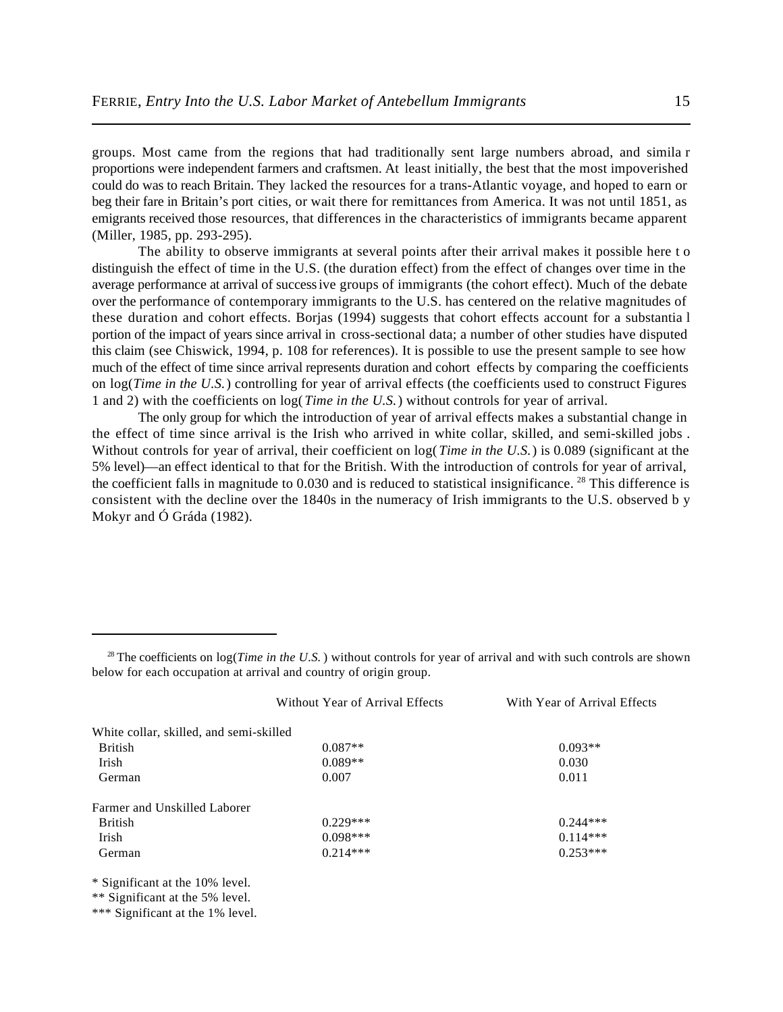groups. Most came from the regions that had traditionally sent large numbers abroad, and simila r proportions were independent farmers and craftsmen. At least initially, the best that the most impoverished could do was to reach Britain. They lacked the resources for a trans-Atlantic voyage, and hoped to earn or beg their fare in Britain's port cities, or wait there for remittances from America. It was not until 1851, as emigrants received those resources, that differences in the characteristics of immigrants became apparent (Miller, 1985, pp. 293-295).

The ability to observe immigrants at several points after their arrival makes it possible here t o distinguish the effect of time in the U.S. (the duration effect) from the effect of changes over time in the average performance at arrival of success ive groups of immigrants (the cohort effect). Much of the debate over the performance of contemporary immigrants to the U.S. has centered on the relative magnitudes of these duration and cohort effects. Borjas (1994) suggests that cohort effects account for a substantia l portion of the impact of years since arrival in cross-sectional data; a number of other studies have disputed this claim (see Chiswick, 1994, p. 108 for references). It is possible to use the present sample to see how much of the effect of time since arrival represents duration and cohort effects by comparing the coefficients on log(*Time in the U.S.*) controlling for year of arrival effects (the coefficients used to construct Figures 1 and 2) with the coefficients on log(*Time in the U.S.*) without controls for year of arrival.

The only group for which the introduction of year of arrival effects makes a substantial change in the effect of time since arrival is the Irish who arrived in white collar, skilled, and semi-skilled jobs . Without controls for year of arrival, their coefficient on  $log(Time in the U.S.)$  is 0.089 (significant at the 5% level)—an effect identical to that for the British. With the introduction of controls for year of arrival, the coefficient falls in magnitude to  $0.030$  and is reduced to statistical insignificance. <sup>28</sup> This difference is consistent with the decline over the 1840s in the numeracy of Irish immigrants to the U.S. observed b y Mokyr and Ó Gráda (1982).

<sup>&</sup>lt;sup>28</sup> The coefficients on  $log(Time in the U.S.)$  without controls for year of arrival and with such controls are shown below for each occupation at arrival and country of origin group.

|                                         | Without Year of Arrival Effects | With Year of Arrival Effects |
|-----------------------------------------|---------------------------------|------------------------------|
| White collar, skilled, and semi-skilled |                                 |                              |
| <b>British</b>                          | $0.087**$                       | $0.093**$                    |
| Irish                                   | $0.089**$                       | 0.030                        |
| German                                  | 0.007                           | 0.011                        |
| Farmer and Unskilled Laborer            |                                 |                              |
| <b>British</b>                          | $0.229***$                      | $0.244***$                   |
| Irish                                   | $0.098***$                      | $0.114***$                   |
| German                                  | $0.214***$                      | $0.253***$                   |
|                                         |                                 |                              |

\* Significant at the 10% level.

\*\*\* Significant at the 1% level.

<sup>\*\*</sup> Significant at the 5% level.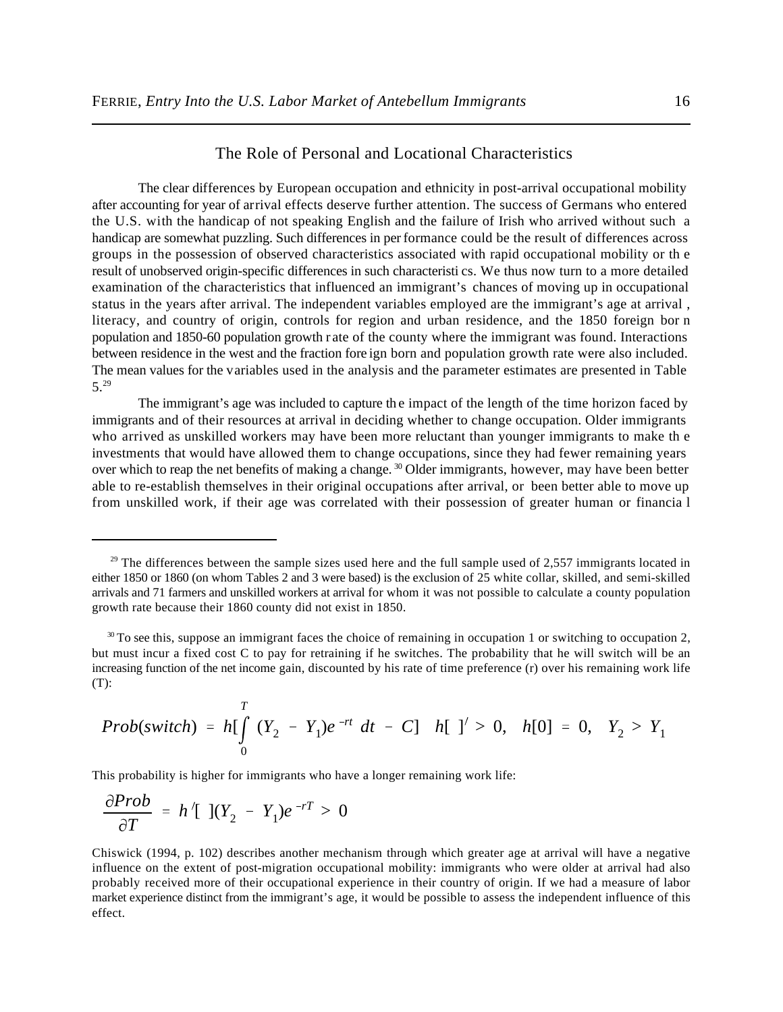# The Role of Personal and Locational Characteristics

The clear differences by European occupation and ethnicity in post-arrival occupational mobility after accounting for year of arrival effects deserve further attention. The success of Germans who entered the U.S. with the handicap of not speaking English and the failure of Irish who arrived without such a handicap are somewhat puzzling. Such differences in performance could be the result of differences across groups in the possession of observed characteristics associated with rapid occupational mobility or th e result of unobserved origin-specific differences in such characteristi cs. We thus now turn to a more detailed examination of the characteristics that influenced an immigrant's chances of moving up in occupational status in the years after arrival. The independent variables employed are the immigrant's age at arrival , literacy, and country of origin, controls for region and urban residence, and the 1850 foreign bor n population and 1850-60 population growth rate of the county where the immigrant was found. Interactions between residence in the west and the fraction fore ign born and population growth rate were also included. The mean values for the variables used in the analysis and the parameter estimates are presented in Table 5.<sup>29</sup>

The immigrant's age was included to capture the impact of the length of the time horizon faced by immigrants and of their resources at arrival in deciding whether to change occupation. Older immigrants who arrived as unskilled workers may have been more reluctant than younger immigrants to make th e investments that would have allowed them to change occupations, since they had fewer remaining years over which to reap the net benefits of making a change.<sup>30</sup> Older immigrants, however, may have been better able to re-establish themselves in their original occupations after arrival, or been better able to move up from unskilled work, if their age was correlated with their possession of greater human or financia l

*Prob*(switch) = 
$$
h \left[ \int_{0}^{T} (Y_2 - Y_1)e^{-rt} dt - C \right]
$$
  $h \left[ \int_{0}^{T} > 0, h[0] = 0, Y_2 > Y_1 \right]$ 

This probability is higher for immigrants who have a longer remaining work life:

$$
\frac{\partial Prob}{\partial T} = h' [1](Y_2 - Y_1)e^{-rT} > 0
$$

Chiswick (1994, p. 102) describes another mechanism through which greater age at arrival will have a negative influence on the extent of post-migration occupational mobility: immigrants who were older at arrival had also probably received more of their occupational experience in their country of origin. If we had a measure of labor market experience distinct from the immigrant's age, it would be possible to assess the independent influence of this effect.

 $29$  The differences between the sample sizes used here and the full sample used of 2,557 immigrants located in either 1850 or 1860 (on whom Tables 2 and 3 were based) is the exclusion of 25 white collar, skilled, and semi-skilled arrivals and 71 farmers and unskilled workers at arrival for whom it was not possible to calculate a county population growth rate because their 1860 county did not exist in 1850.

 $30$  To see this, suppose an immigrant faces the choice of remaining in occupation 1 or switching to occupation 2, but must incur a fixed cost C to pay for retraining if he switches. The probability that he will switch will be an increasing function of the net income gain, discounted by his rate of time preference (r) over his remaining work life (T):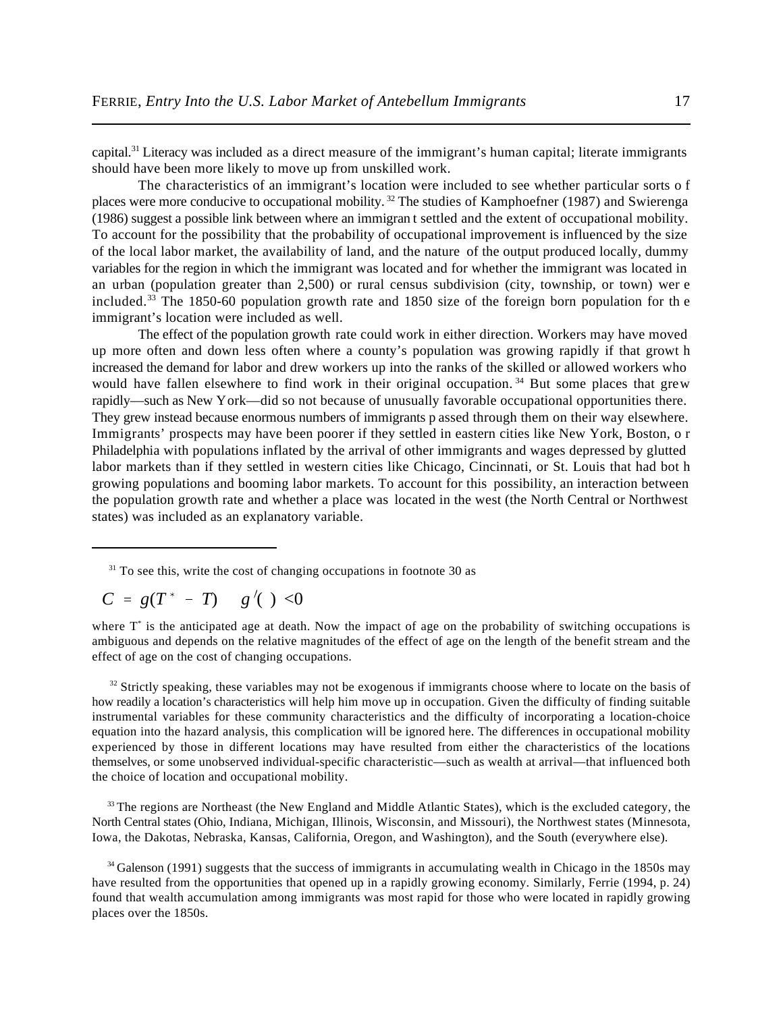capital.<sup>31</sup> Literacy was included as a direct measure of the immigrant's human capital; literate immigrants should have been more likely to move up from unskilled work.

The characteristics of an immigrant's location were included to see whether particular sorts o f places were more conducive to occupational mobility.<sup>32</sup> The studies of Kamphoefner (1987) and Swierenga (1986) suggest a possible link between where an immigran t settled and the extent of occupational mobility. To account for the possibility that the probability of occupational improvement is influenced by the size of the local labor market, the availability of land, and the nature of the output produced locally, dummy variables for the region in which the immigrant was located and for whether the immigrant was located in an urban (population greater than 2,500) or rural census subdivision (city, township, or town) wer e included.<sup>33</sup> The 1850-60 population growth rate and 1850 size of the foreign born population for the immigrant's location were included as well.

The effect of the population growth rate could work in either direction. Workers may have moved up more often and down less often where a county's population was growing rapidly if that growt h increased the demand for labor and drew workers up into the ranks of the skilled or allowed workers who would have fallen elsewhere to find work in their original occupation.<sup>34</sup> But some places that grew rapidly—such as New York—did so not because of unusually favorable occupational opportunities there. They grew instead because enormous numbers of immigrants p assed through them on their way elsewhere. Immigrants' prospects may have been poorer if they settled in eastern cities like New York, Boston, o r Philadelphia with populations inflated by the arrival of other immigrants and wages depressed by glutted labor markets than if they settled in western cities like Chicago, Cincinnati, or St. Louis that had bot h growing populations and booming labor markets. To account for this possibility, an interaction between the population growth rate and whether a place was located in the west (the North Central or Northwest states) was included as an explanatory variable.

$$
C = g(T^* - T) \quad g'(\cdot) < 0
$$

where  $T^*$  is the anticipated age at death. Now the impact of age on the probability of switching occupations is ambiguous and depends on the relative magnitudes of the effect of age on the length of the benefit stream and the effect of age on the cost of changing occupations.

<sup>32</sup> Strictly speaking, these variables may not be exogenous if immigrants choose where to locate on the basis of how readily a location's characteristics will help him move up in occupation. Given the difficulty of finding suitable instrumental variables for these community characteristics and the difficulty of incorporating a location-choice equation into the hazard analysis, this complication will be ignored here. The differences in occupational mobility experienced by those in different locations may have resulted from either the characteristics of the locations themselves, or some unobserved individual-specific characteristic—such as wealth at arrival—that influenced both the choice of location and occupational mobility.

<sup>33</sup> The regions are Northeast (the New England and Middle Atlantic States), which is the excluded category, the North Central states (Ohio, Indiana, Michigan, Illinois, Wisconsin, and Missouri), the Northwest states (Minnesota, Iowa, the Dakotas, Nebraska, Kansas, California, Oregon, and Washington), and the South (everywhere else).

 $34$  Galenson (1991) suggests that the success of immigrants in accumulating wealth in Chicago in the 1850s may have resulted from the opportunities that opened up in a rapidly growing economy. Similarly, Ferrie (1994, p. 24) found that wealth accumulation among immigrants was most rapid for those who were located in rapidly growing places over the 1850s.

 $31$  To see this, write the cost of changing occupations in footnote 30 as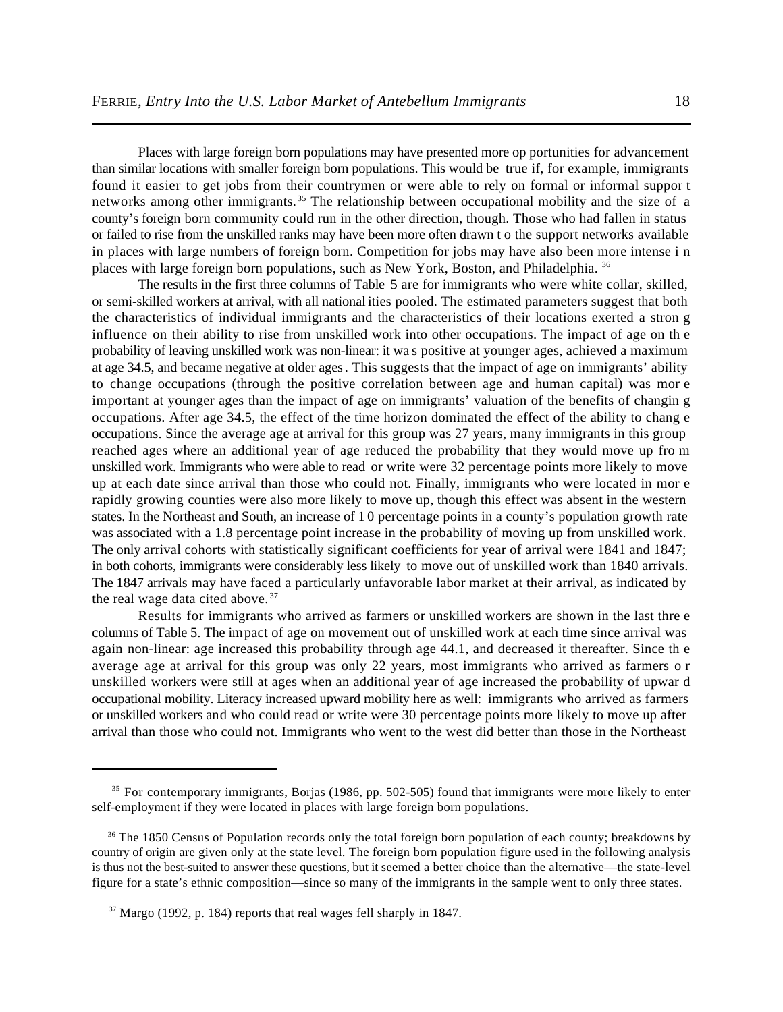Places with large foreign born populations may have presented more op portunities for advancement than similar locations with smaller foreign born populations. This would be true if, for example, immigrants found it easier to get jobs from their countrymen or were able to rely on formal or informal suppor t networks among other immigrants.<sup>35</sup> The relationship between occupational mobility and the size of a county's foreign born community could run in the other direction, though. Those who had fallen in status or failed to rise from the unskilled ranks may have been more often drawn t o the support networks available in places with large numbers of foreign born. Competition for jobs may have also been more intense i n places with large foreign born populations, such as New York, Boston, and Philadelphia. <sup>36</sup>

The results in the first three columns of Table 5 are for immigrants who were white collar, skilled, or semi-skilled workers at arrival, with all nationalities pooled. The estimated parameters suggest that both the characteristics of individual immigrants and the characteristics of their locations exerted a stron g influence on their ability to rise from unskilled work into other occupations. The impact of age on th e probability of leaving unskilled work was non-linear: it wa s positive at younger ages, achieved a maximum at age 34.5, and became negative at older ages . This suggests that the impact of age on immigrants' ability to change occupations (through the positive correlation between age and human capital) was mor e important at younger ages than the impact of age on immigrants' valuation of the benefits of changin g occupations. After age 34.5, the effect of the time horizon dominated the effect of the ability to chang e occupations. Since the average age at arrival for this group was 27 years, many immigrants in this group reached ages where an additional year of age reduced the probability that they would move up fro m unskilled work. Immigrants who were able to read or write were 32 percentage points more likely to move up at each date since arrival than those who could not. Finally, immigrants who were located in mor e rapidly growing counties were also more likely to move up, though this effect was absent in the western states. In the Northeast and South, an increase of 1 0 percentage points in a county's population growth rate was associated with a 1.8 percentage point increase in the probability of moving up from unskilled work. The only arrival cohorts with statistically significant coefficients for year of arrival were 1841 and 1847; in both cohorts, immigrants were considerably less likely to move out of unskilled work than 1840 arrivals. The 1847 arrivals may have faced a particularly unfavorable labor market at their arrival, as indicated by the real wage data cited above. <sup>37</sup>

Results for immigrants who arrived as farmers or unskilled workers are shown in the last thre e columns of Table 5. The impact of age on movement out of unskilled work at each time since arrival was again non-linear: age increased this probability through age 44.1, and decreased it thereafter. Since th e average age at arrival for this group was only 22 years, most immigrants who arrived as farmers o r unskilled workers were still at ages when an additional year of age increased the probability of upwar d occupational mobility. Literacy increased upward mobility here as well: immigrants who arrived as farmers or unskilled workers and who could read or write were 30 percentage points more likely to move up after arrival than those who could not. Immigrants who went to the west did better than those in the Northeast

<sup>&</sup>lt;sup>35</sup> For contemporary immigrants, Borjas (1986, pp. 502-505) found that immigrants were more likely to enter self-employment if they were located in places with large foreign born populations.

<sup>&</sup>lt;sup>36</sup> The 1850 Census of Population records only the total foreign born population of each county; breakdowns by country of origin are given only at the state level. The foreign born population figure used in the following analysis is thus not the best-suited to answer these questions, but it seemed a better choice than the alternative—the state-level figure for a state's ethnic composition—since so many of the immigrants in the sample went to only three states.

 $37$  Margo (1992, p. 184) reports that real wages fell sharply in 1847.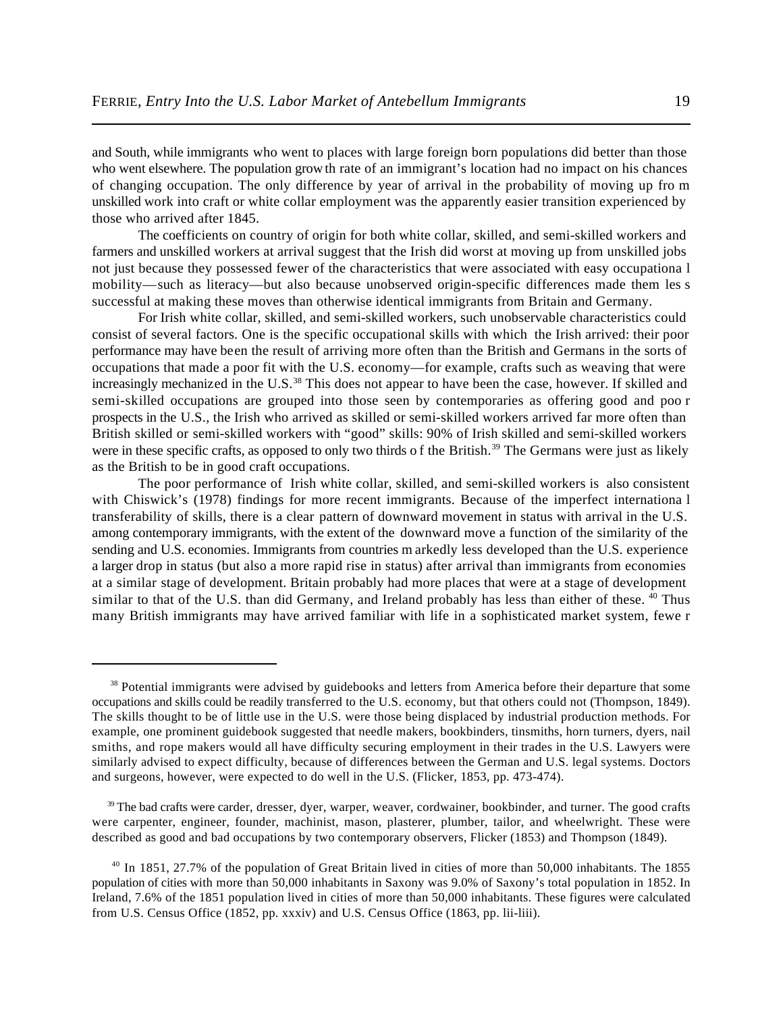and South, while immigrants who went to places with large foreign born populations did better than those who went elsewhere. The population growth rate of an immigrant's location had no impact on his chances of changing occupation. The only difference by year of arrival in the probability of moving up fro m unskilled work into craft or white collar employment was the apparently easier transition experienced by those who arrived after 1845.

The coefficients on country of origin for both white collar, skilled, and semi-skilled workers and farmers and unskilled workers at arrival suggest that the Irish did worst at moving up from unskilled jobs not just because they possessed fewer of the characteristics that were associated with easy occupationa l mobility—such as literacy—but also because unobserved origin-specific differences made them les s successful at making these moves than otherwise identical immigrants from Britain and Germany.

For Irish white collar, skilled, and semi-skilled workers, such unobservable characteristics could consist of several factors. One is the specific occupational skills with which the Irish arrived: their poor performance may have been the result of arriving more often than the British and Germans in the sorts of occupations that made a poor fit with the U.S. economy—for example, crafts such as weaving that were increasingly mechanized in the U.S.  $38$  This does not appear to have been the case, however. If skilled and semi-skilled occupations are grouped into those seen by contemporaries as offering good and poo r prospects in the U.S., the Irish who arrived as skilled or semi-skilled workers arrived far more often than British skilled or semi-skilled workers with "good" skills: 90% of Irish skilled and semi-skilled workers were in these specific crafts, as opposed to only two thirds of the British.<sup>39</sup> The Germans were just as likely as the British to be in good craft occupations.

The poor performance of Irish white collar, skilled, and semi-skilled workers is also consistent with Chiswick's (1978) findings for more recent immigrants. Because of the imperfect internationa l transferability of skills, there is a clear pattern of downward movement in status with arrival in the U.S. among contemporary immigrants, with the extent of the downward move a function of the similarity of the sending and U.S. economies. Immigrants from countries m arkedly less developed than the U.S. experience a larger drop in status (but also a more rapid rise in status) after arrival than immigrants from economies at a similar stage of development. Britain probably had more places that were at a stage of development similar to that of the U.S. than did Germany, and Ireland probably has less than either of these. <sup>40</sup> Thus many British immigrants may have arrived familiar with life in a sophisticated market system, fewe r

<sup>&</sup>lt;sup>38</sup> Potential immigrants were advised by guidebooks and letters from America before their departure that some occupations and skills could be readily transferred to the U.S. economy, but that others could not (Thompson, 1849). The skills thought to be of little use in the U.S. were those being displaced by industrial production methods. For example, one prominent guidebook suggested that needle makers, bookbinders, tinsmiths, horn turners, dyers, nail smiths, and rope makers would all have difficulty securing employment in their trades in the U.S. Lawyers were similarly advised to expect difficulty, because of differences between the German and U.S. legal systems. Doctors and surgeons, however, were expected to do well in the U.S. (Flicker, 1853, pp. 473-474).

<sup>&</sup>lt;sup>39</sup> The bad crafts were carder, dresser, dyer, warper, weaver, cordwainer, bookbinder, and turner. The good crafts were carpenter, engineer, founder, machinist, mason, plasterer, plumber, tailor, and wheelwright. These were described as good and bad occupations by two contemporary observers, Flicker (1853) and Thompson (1849).

<sup>&</sup>lt;sup>40</sup> In 1851, 27.7% of the population of Great Britain lived in cities of more than 50,000 inhabitants. The 1855 population of cities with more than 50,000 inhabitants in Saxony was 9.0% of Saxony's total population in 1852. In Ireland, 7.6% of the 1851 population lived in cities of more than 50,000 inhabitants. These figures were calculated from U.S. Census Office (1852, pp. xxxiv) and U.S. Census Office (1863, pp. lii-liii).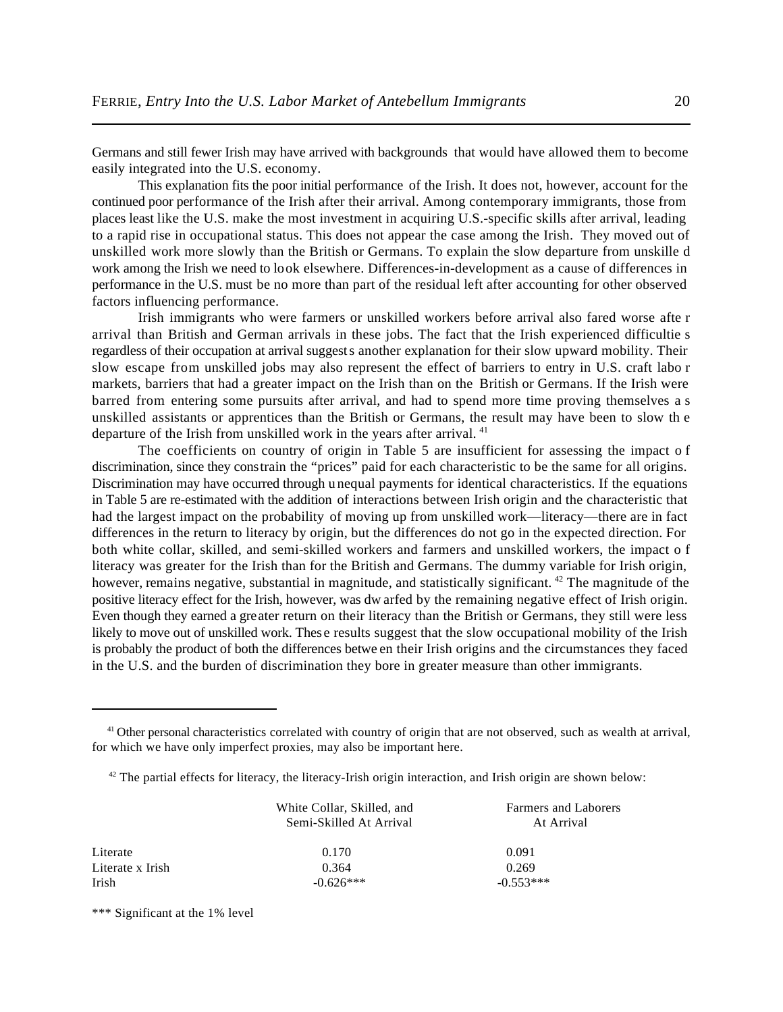Germans and still fewer Irish may have arrived with backgrounds that would have allowed them to become easily integrated into the U.S. economy.

This explanation fits the poor initial performance of the Irish. It does not, however, account for the continued poor performance of the Irish after their arrival. Among contemporary immigrants, those from places least like the U.S. make the most investment in acquiring U.S.-specific skills after arrival, leading to a rapid rise in occupational status. This does not appear the case among the Irish. They moved out of unskilled work more slowly than the British or Germans. To explain the slow departure from unskille d work among the Irish we need to look elsewhere. Differences-in-development as a cause of differences in performance in the U.S. must be no more than part of the residual left after accounting for other observed factors influencing performance.

Irish immigrants who were farmers or unskilled workers before arrival also fared worse afte r arrival than British and German arrivals in these jobs. The fact that the Irish experienced difficultie s regardless of their occupation at arrival suggest s another explanation for their slow upward mobility. Their slow escape from unskilled jobs may also represent the effect of barriers to entry in U.S. craft labo r markets, barriers that had a greater impact on the Irish than on the British or Germans. If the Irish were barred from entering some pursuits after arrival, and had to spend more time proving themselves a s unskilled assistants or apprentices than the British or Germans, the result may have been to slow th e departure of the Irish from unskilled work in the years after arrival.<sup>41</sup>

The coefficients on country of origin in Table 5 are insufficient for assessing the impact o f discrimination, since they constrain the "prices" paid for each characteristic to be the same for all origins. Discrimination may have occurred through unequal payments for identical characteristics. If the equations in Table 5 are re-estimated with the addition of interactions between Irish origin and the characteristic that had the largest impact on the probability of moving up from unskilled work—literacy—there are in fact differences in the return to literacy by origin, but the differences do not go in the expected direction. For both white collar, skilled, and semi-skilled workers and farmers and unskilled workers, the impact o f literacy was greater for the Irish than for the British and Germans. The dummy variable for Irish origin, however, remains negative, substantial in magnitude, and statistically significant.  $42$  The magnitude of the positive literacy effect for the Irish, however, was dw arfed by the remaining negative effect of Irish origin. Even though they earned a greater return on their literacy than the British or Germans, they still were less likely to move out of unskilled work. These results suggest that the slow occupational mobility of the Irish is probably the product of both the differences betwe en their Irish origins and the circumstances they faced in the U.S. and the burden of discrimination they bore in greater measure than other immigrants.

 $42$  The partial effects for literacy, the literacy-Irish origin interaction, and Irish origin are shown below:

|                  | White Collar, Skilled, and<br>Semi-Skilled At Arrival | <b>Farmers and Laborers</b><br>At Arrival |
|------------------|-------------------------------------------------------|-------------------------------------------|
| Literate         | 0.170                                                 | 0.091                                     |
| Literate x Irish | 0.364                                                 | 0.269                                     |
| Irish            | $-0.626***$                                           | $-0.553***$                               |

\*\*\* Significant at the 1% level

 $41$  Other personal characteristics correlated with country of origin that are not observed, such as wealth at arrival, for which we have only imperfect proxies, may also be important here.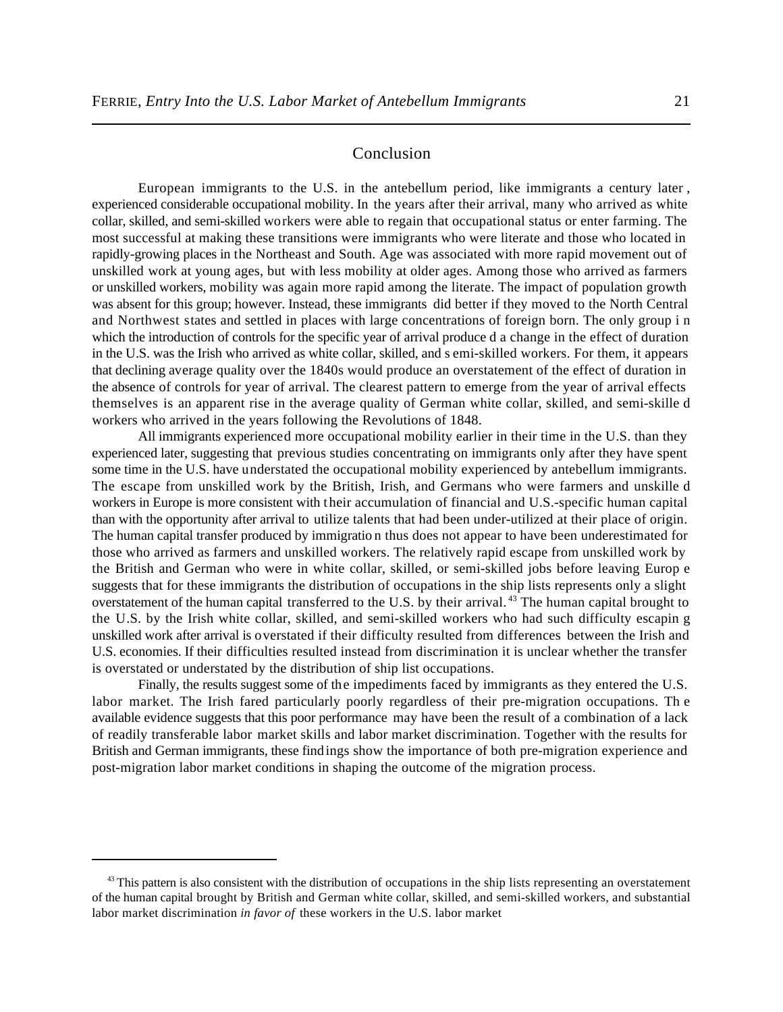## Conclusion

European immigrants to the U.S. in the antebellum period, like immigrants a century later , experienced considerable occupational mobility. In the years after their arrival, many who arrived as white collar, skilled, and semi-skilled workers were able to regain that occupational status or enter farming. The most successful at making these transitions were immigrants who were literate and those who located in rapidly-growing places in the Northeast and South. Age was associated with more rapid movement out of unskilled work at young ages, but with less mobility at older ages. Among those who arrived as farmers or unskilled workers, mobility was again more rapid among the literate. The impact of population growth was absent for this group; however. Instead, these immigrants did better if they moved to the North Central and Northwest states and settled in places with large concentrations of foreign born. The only group i n which the introduction of controls for the specific year of arrival produce d a change in the effect of duration in the U.S. was the Irish who arrived as white collar, skilled, and s emi-skilled workers. For them, it appears that declining average quality over the 1840s would produce an overstatement of the effect of duration in the absence of controls for year of arrival. The clearest pattern to emerge from the year of arrival effects themselves is an apparent rise in the average quality of German white collar, skilled, and semi-skille d workers who arrived in the years following the Revolutions of 1848.

All immigrants experienced more occupational mobility earlier in their time in the U.S. than they experienced later, suggesting that previous studies concentrating on immigrants only after they have spent some time in the U.S. have understated the occupational mobility experienced by antebellum immigrants. The escape from unskilled work by the British, Irish, and Germans who were farmers and unskille d workers in Europe is more consistent with their accumulation of financial and U.S.-specific human capital than with the opportunity after arrival to utilize talents that had been under-utilized at their place of origin. The human capital transfer produced by immigratio n thus does not appear to have been underestimated for those who arrived as farmers and unskilled workers. The relatively rapid escape from unskilled work by the British and German who were in white collar, skilled, or semi-skilled jobs before leaving Europ e suggests that for these immigrants the distribution of occupations in the ship lists represents only a slight overstatement of the human capital transferred to the U.S. by their arrival.<sup>43</sup> The human capital brought to the U.S. by the Irish white collar, skilled, and semi-skilled workers who had such difficulty escapin g unskilled work after arrival is overstated if their difficulty resulted from differences between the Irish and U.S. economies. If their difficulties resulted instead from discrimination it is unclear whether the transfer is overstated or understated by the distribution of ship list occupations.

Finally, the results suggest some of the impediments faced by immigrants as they entered the U.S. labor market. The Irish fared particularly poorly regardless of their pre-migration occupations. Th e available evidence suggests that this poor performance may have been the result of a combination of a lack of readily transferable labor market skills and labor market discrimination. Together with the results for British and German immigrants, these findings show the importance of both pre-migration experience and post-migration labor market conditions in shaping the outcome of the migration process.

 $43$  This pattern is also consistent with the distribution of occupations in the ship lists representing an overstatement of the human capital brought by British and German white collar, skilled, and semi-skilled workers, and substantial labor market discrimination *in favor of* these workers in the U.S. labor market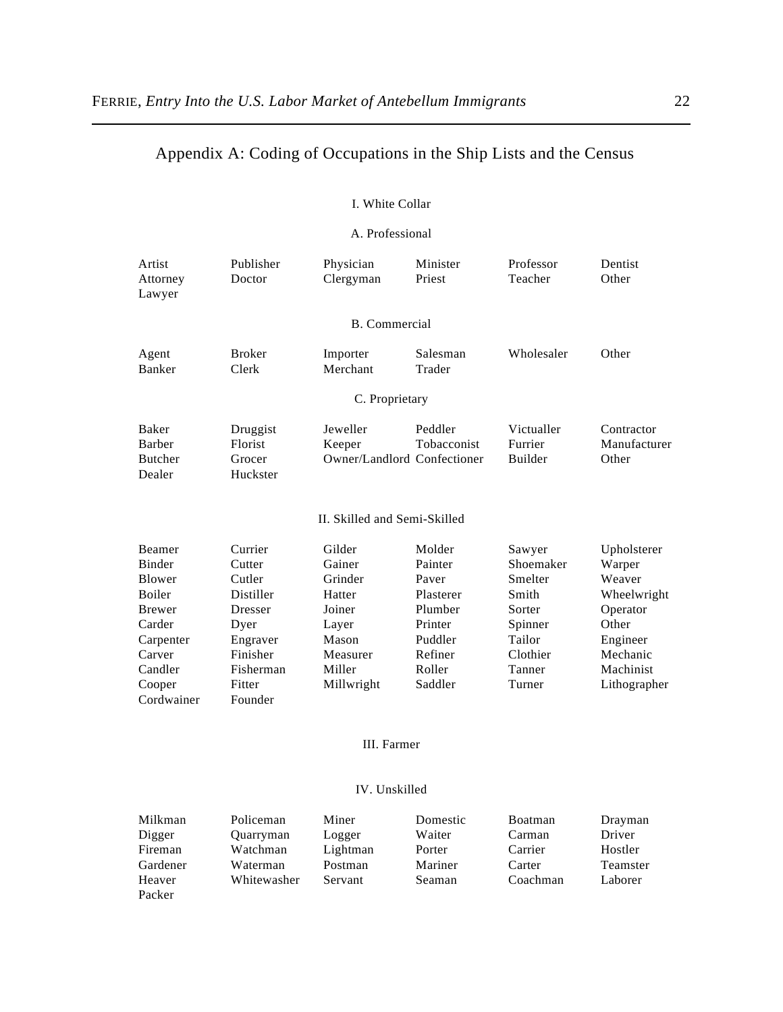# Appendix A: Coding of Occupations in the Ship Lists and the Census

#### I. White Collar

#### A. Professional

| Artist<br>Attorney<br>Lawyer                | Publisher<br>Doctor                       | Physician<br>Clergyman                            | Minister<br>Priest     | Professor<br>Teacher                    | Dentist<br>Other                    |
|---------------------------------------------|-------------------------------------------|---------------------------------------------------|------------------------|-----------------------------------------|-------------------------------------|
|                                             |                                           | <b>B.</b> Commercial                              |                        |                                         |                                     |
| Agent<br><b>Banker</b>                      | <b>Broker</b><br>Clerk                    | Importer<br>Merchant                              | Salesman<br>Trader     | Wholesaler                              | Other                               |
|                                             |                                           | C. Proprietary                                    |                        |                                         |                                     |
| Baker<br>Barber<br><b>Butcher</b><br>Dealer | Druggist<br>Florist<br>Grocer<br>Huckster | Jeweller<br>Keeper<br>Owner/Landlord Confectioner | Peddler<br>Tobacconist | Victualler<br>Furrier<br><b>Builder</b> | Contractor<br>Manufacturer<br>Other |
|                                             |                                           | II. Skilled and Semi-Skilled                      |                        |                                         |                                     |
| Beamer                                      | Currier                                   | Gilder                                            | Molder                 | Sawyer                                  | Upholsterer                         |
| <b>Binder</b>                               | Cutter                                    | Gainer                                            | Painter                | Shoemaker                               | Warper                              |
| Blower                                      | Cutler                                    | Grinder                                           | Paver                  | Smelter                                 | Weaver                              |
| Boiler                                      | Distiller                                 | Hatter                                            | Plasterer              | Smith                                   | Wheelwright                         |
| Brewer                                      | Dresser                                   | Joiner                                            | Plumber                | Sorter                                  | Operator                            |
| Carder                                      | Dyer                                      | Layer                                             | Printer                | Spinner                                 | Other                               |
| Carpenter                                   | Engraver                                  | Mason                                             | Puddler                | Tailor                                  | Engineer                            |
| Carver                                      | Finisher                                  | Measurer                                          | Refiner                | Clothier                                | Mechanic                            |
| Candler                                     | Fisherman                                 | Miller                                            | Roller                 | Tanner                                  | Machinist                           |
| Cooper                                      | Fitter                                    | Millwright                                        | Saddler                | Turner                                  | Lithographer                        |
| Cordwainer                                  | Founder                                   |                                                   |                        |                                         |                                     |

#### III. Farmer

#### IV. Unskilled

| Milkman  | Policeman   | Miner    | Domestic      | Boatman  | Drayman  |
|----------|-------------|----------|---------------|----------|----------|
| Digger   | Quarryman   | Logger   | Waiter        | Carman   | Driver   |
| Fireman  | Watchman    | Lightman | Porter        | Carrier  | Hostler  |
| Gardener | Waterman    | Postman  | Mariner       | Carter   | Teamster |
| Heaver   | Whitewasher | Servant  | <b>Seaman</b> | Coachman | Laborer  |
| Packer   |             |          |               |          |          |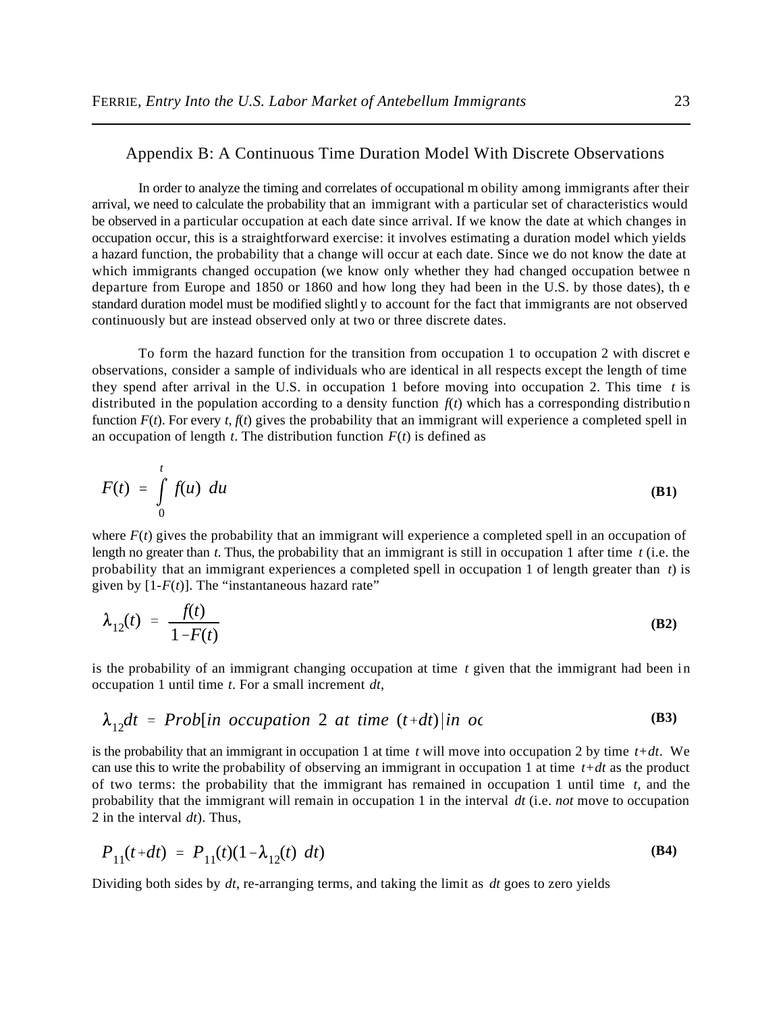#### Appendix B: A Continuous Time Duration Model With Discrete Observations

In order to analyze the timing and correlates of occupational m obility among immigrants after their arrival, we need to calculate the probability that an immigrant with a particular set of characteristics would be observed in a particular occupation at each date since arrival. If we know the date at which changes in occupation occur, this is a straightforward exercise: it involves estimating a duration model which yields a hazard function, the probability that a change will occur at each date. Since we do not know the date at which immigrants changed occupation (we know only whether they had changed occupation betwee n departure from Europe and 1850 or 1860 and how long they had been in the U.S. by those dates), th e standard duration model must be modified slightl y to account for the fact that immigrants are not observed continuously but are instead observed only at two or three discrete dates.

To form the hazard function for the transition from occupation 1 to occupation 2 with discret e observations, consider a sample of individuals who are identical in all respects except the length of time they spend after arrival in the U.S. in occupation 1 before moving into occupation 2. This time *t* is distributed in the population according to a density function  $f(t)$  which has a corresponding distribution function  $F(t)$ . For every  $t, f(t)$  gives the probability that an immigrant will experience a completed spell in an occupation of length  $t$ . The distribution function  $F(t)$  is defined as

$$
F(t) = \int_{0}^{t} f(u) \ du
$$
 (B1)

where  $F(t)$  gives the probability that an immigrant will experience a completed spell in an occupation of length no greater than *t*. Thus, the probability that an immigrant is still in occupation 1 after time *t* (i.e. the probability that an immigrant experiences a completed spell in occupation 1 of length greater than *t*) is given by  $[1-F(t)]$ . The "instantaneous hazard rate"

$$
\lambda_{12}(t) = \frac{f(t)}{1 - F(t)}
$$
 (B2)

is the probability of an immigrant changing occupation at time *t* given that the immigrant had been in occupation 1 until time *t*. For a small increment *dt*,

$$
\lambda_{12}dt = Prob(in occupation 2 at time (t+dt)|in oc
$$
 (B3)

is the probability that an immigrant in occupation 1 at time *t* will move into occupation 2 by time *t+dt*. We can use this to write the probability of observing an immigrant in occupation 1 at time *t+dt* as the product of two terms: the probability that the immigrant has remained in occupation 1 until time *t*, and the probability that the immigrant will remain in occupation 1 in the interval *dt* (i.e. *not* move to occupation 2 in the interval *dt*). Thus,

$$
P_{11}(t+dt) = P_{11}(t)(1 - \lambda_{12}(t) dt)
$$
 (B4)

Dividing both sides by *dt*, re-arranging terms, and taking the limit as *dt* goes to zero yields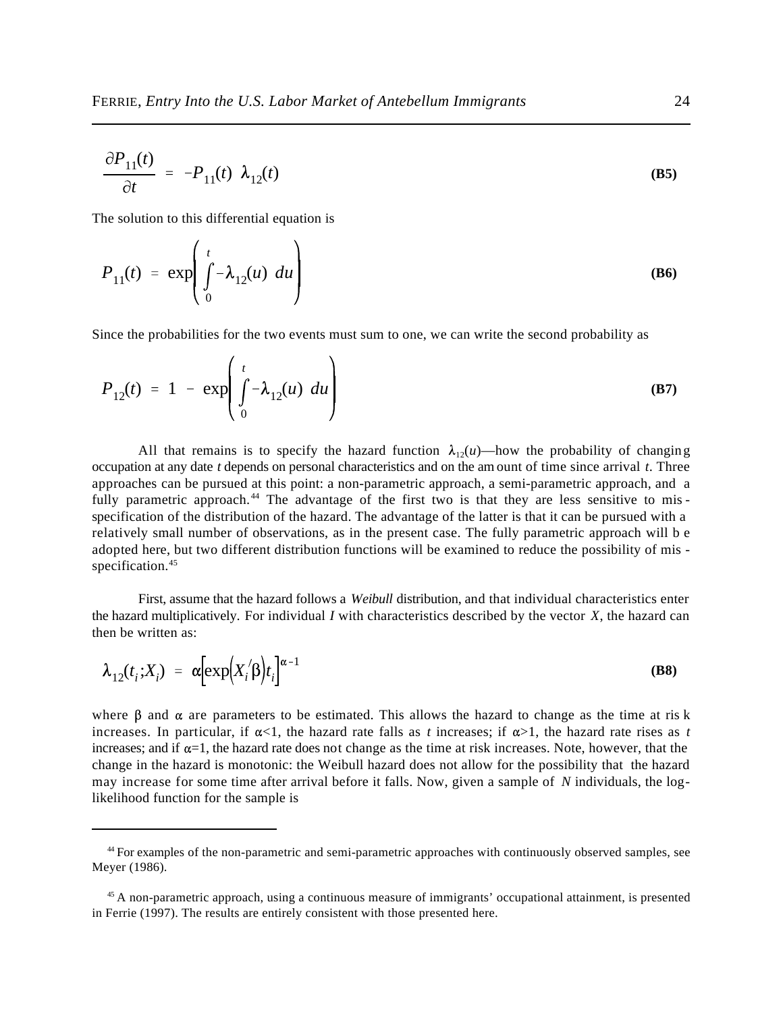$$
\frac{\partial P_{11}(t)}{\partial t} = -P_{11}(t) \ \lambda_{12}(t) \tag{B5}
$$

The solution to this differential equation is

$$
P_{11}(t) = \exp\left(\int_0^t -\lambda_{12}(u) \ du\right)
$$
 (B6)

Since the probabilities for the two events must sum to one, we can write the second probability as

$$
P_{12}(t) = 1 - \exp\left(\int_0^t -\lambda_{12}(u) \ du\right)
$$
 (B7)

All that remains is to specify the hazard function  $\lambda_{12}(u)$ —how the probability of changing occupation at any date *t* depends on personal characteristics and on the am ount of time since arrival *t*. Three approaches can be pursued at this point: a non-parametric approach, a semi-parametric approach, and a fully parametric approach.<sup>44</sup> The advantage of the first two is that they are less sensitive to misspecification of the distribution of the hazard. The advantage of the latter is that it can be pursued with a relatively small number of observations, as in the present case. The fully parametric approach will b e adopted here, but two different distribution functions will be examined to reduce the possibility of mis specification.<sup>45</sup>

First, assume that the hazard follows a *Weibull* distribution, and that individual characteristics enter the hazard multiplicatively. For individual *I* with characteristics described by the vector *X*, the hazard can then be written as:

$$
\lambda_{12}(t_i; X_i) = \alpha \Big[ \exp\Bigl(X_i/\beta\Bigr) t_i \Big]^{\alpha - 1} \tag{B8}
$$

where  $\beta$  and  $\alpha$  are parameters to be estimated. This allows the hazard to change as the time at ris k increases. In particular, if  $\alpha < 1$ , the hazard rate falls as *t* increases; if  $\alpha > 1$ , the hazard rate rises as *t* increases; and if  $\alpha=1$ , the hazard rate does not change as the time at risk increases. Note, however, that the change in the hazard is monotonic: the Weibull hazard does not allow for the possibility that the hazard may increase for some time after arrival before it falls. Now, given a sample of *N* individuals, the loglikelihood function for the sample is

<sup>&</sup>lt;sup>44</sup> For examples of the non-parametric and semi-parametric approaches with continuously observed samples, see Meyer (1986).

 $45$  A non-parametric approach, using a continuous measure of immigrants' occupational attainment, is presented in Ferrie (1997). The results are entirely consistent with those presented here.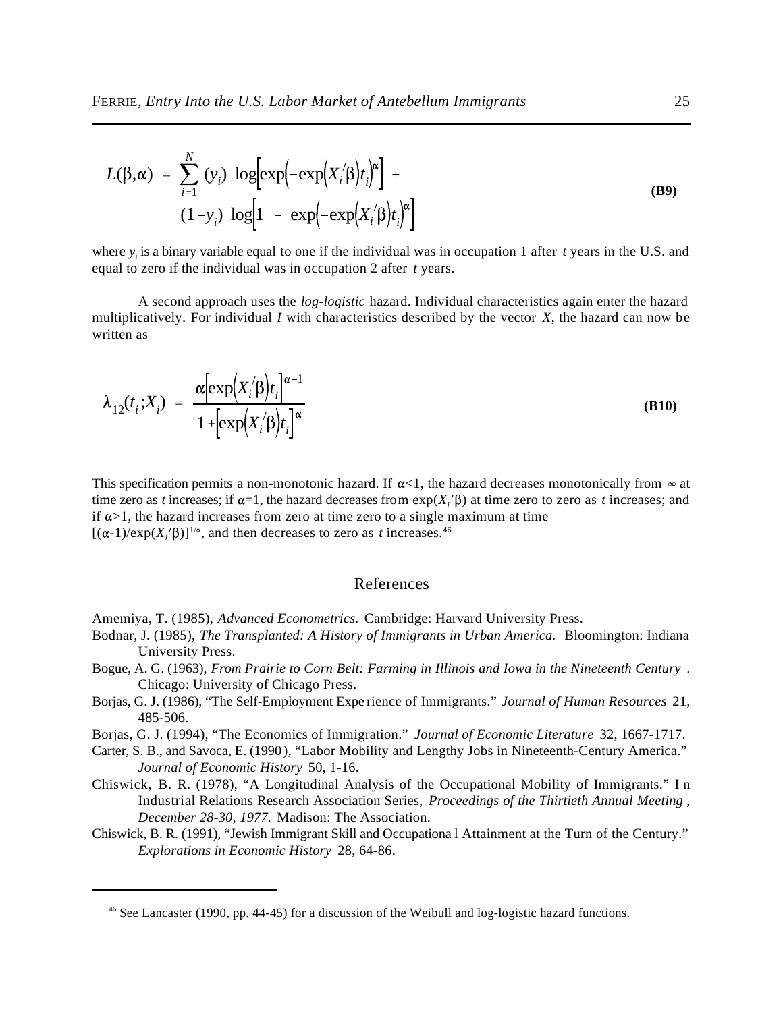$$
L(\beta, \alpha) = \sum_{i=1}^{N} (y_i) \log[\exp(-\exp(X_i/\beta)t_i]^{\alpha}] +
$$
  
(1-y<sub>i</sub>) log[1 - exp(-exp(X<sub>i</sub>/\beta)t\_i]^{\alpha}] (B9)

where  $y_i$  is a binary variable equal to one if the individual was in occupation 1 after  $t$  years in the U.S. and equal to zero if the individual was in occupation 2 after *t* years.

A second approach uses the *log-logistic* hazard. Individual characteristics again enter the hazard multiplicatively. For individual *I* with characteristics described by the vector *X*, the hazard can now be written as

$$
\lambda_{12}(t_i; X_i) = \frac{\alpha \left[ \exp\left(X_i/\beta\right) t_i \right]^{\alpha - 1}}{1 + \left[ \exp\left(X_i/\beta\right) t_i \right]^{\alpha}}
$$
\n(B10)

This specification permits a non-monotonic hazard. If  $\alpha$ <1, the hazard decreases monotonically from  $\infty$  at time zero as *t* increases; if  $\alpha=1$ , the hazard decreases from  $\exp(X_i/\beta)$  at time zero to zero as *t* increases; and if  $\alpha > 1$ , the hazard increases from zero at time zero to a single maximum at time  $[(\alpha-1)/\exp(X_i/\beta)]^{1/\alpha}$ , and then decreases to zero as *t* increases.<sup>46</sup>

#### References

- Amemiya, T. (1985), *Advanced Econometrics.* Cambridge: Harvard University Press.
- Bodnar, J. (1985), *The Transplanted: A History of Immigrants in Urban America.* Bloomington: Indiana University Press.
- Bogue, A. G. (1963), *From Prairie to Corn Belt: Farming in Illinois and Iowa in the Nineteenth Century* . Chicago: University of Chicago Press.
- Borjas, G. J. (1986), "The Self-Employment Expe rience of Immigrants." *Journal of Human Resources* 21, 485-506.
- Borjas, G. J. (1994), "The Economics of Immigration." *Journal of Economic Literature* 32, 1667-1717.
- Carter, S. B., and Savoca, E. (1990), "Labor Mobility and Lengthy Jobs in Nineteenth-Century America." *Journal of Economic History* 50, 1-16.
- Chiswick, B. R. (1978), "A Longitudinal Analysis of the Occupational Mobility of Immigrants." I n Industrial Relations Research Association Series, *Proceedings of the Thirtieth Annual Meeting , December 28-30, 1977.* Madison: The Association.

Chiswick, B. R. (1991), "Jewish Immigrant Skill and Occupationa l Attainment at the Turn of the Century." *Explorations in Economic History* 28, 64-86.

<sup>&</sup>lt;sup>46</sup> See Lancaster (1990, pp. 44-45) for a discussion of the Weibull and log-logistic hazard functions.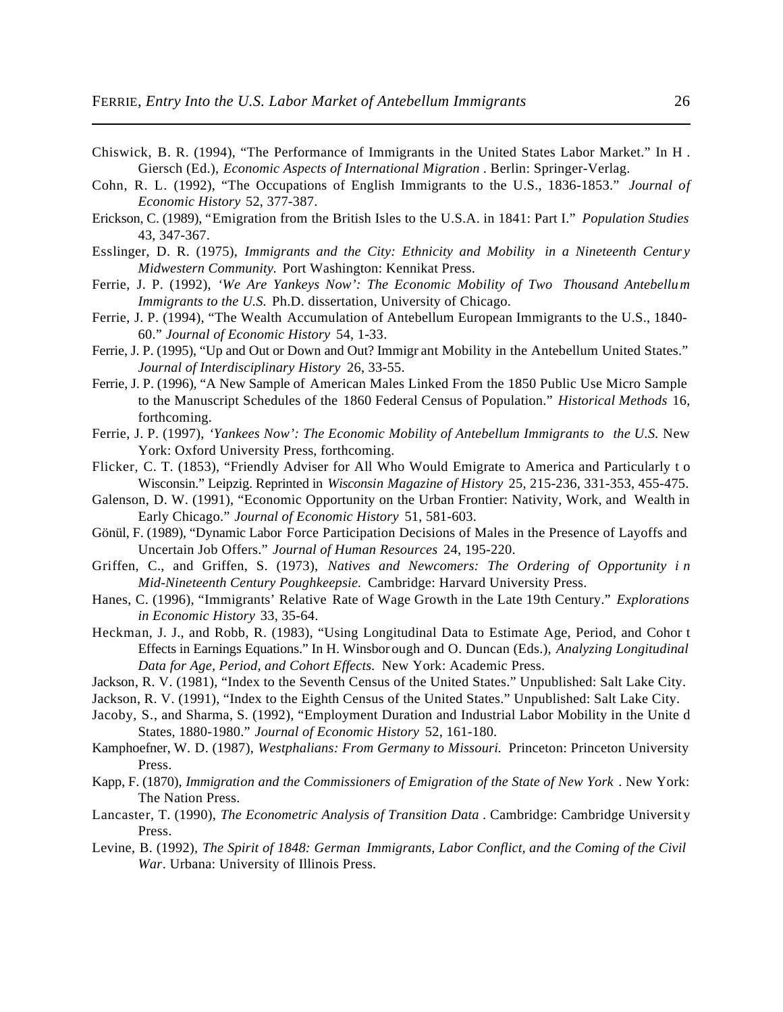- Chiswick, B. R. (1994), "The Performance of Immigrants in the United States Labor Market." In H . Giersch (Ed.), *Economic Aspects of International Migration* . Berlin: Springer-Verlag.
- Cohn, R. L. (1992), "The Occupations of English Immigrants to the U.S., 1836-1853." *Journal of Economic History* 52, 377-387.
- Erickson, C. (1989), "Emigration from the British Isles to the U.S.A. in 1841: Part I." *Population Studies* 43, 347-367.
- Esslinger, D. R. (1975), *Immigrants and the City: Ethnicity and Mobility in a Nineteenth Centur y Midwestern Community.* Port Washington: Kennikat Press.
- Ferrie, J. P. (1992), *'We Are Yankeys Now': The Economic Mobility of Two Thousand Antebellum Immigrants to the U.S.* Ph.D. dissertation, University of Chicago.
- Ferrie, J. P. (1994), "The Wealth Accumulation of Antebellum European Immigrants to the U.S., 1840- 60." *Journal of Economic History* 54, 1-33.
- Ferrie, J. P. (1995), "Up and Out or Down and Out? Immigr ant Mobility in the Antebellum United States." *Journal of Interdisciplinary History* 26, 33-55.
- Ferrie, J. P. (1996), "A New Sample of American Males Linked From the 1850 Public Use Micro Sample to the Manuscript Schedules of the 1860 Federal Census of Population." *Historical Methods* 16, forthcoming.
- Ferrie, J. P. (1997), *'Yankees Now': The Economic Mobility of Antebellum Immigrants to the U.S.* New York: Oxford University Press, forthcoming.
- Flicker, C. T. (1853), "Friendly Adviser for All Who Would Emigrate to America and Particularly t o Wisconsin." Leipzig. Reprinted in *Wisconsin Magazine of History* 25, 215-236, 331-353, 455-475.
- Galenson, D. W. (1991), "Economic Opportunity on the Urban Frontier: Nativity, Work, and Wealth in Early Chicago." *Journal of Economic History* 51, 581-603.
- Gönül, F. (1989), "Dynamic Labor Force Participation Decisions of Males in the Presence of Layoffs and Uncertain Job Offers." *Journal of Human Resources* 24, 195-220.
- Griffen, C., and Griffen, S. (1973), *Natives and Newcomers: The Ordering of Opportunity i n Mid-Nineteenth Century Poughkeepsie.* Cambridge: Harvard University Press.
- Hanes, C. (1996), "Immigrants' Relative Rate of Wage Growth in the Late 19th Century." *Explorations in Economic History* 33, 35-64.
- Heckman, J. J., and Robb, R. (1983), "Using Longitudinal Data to Estimate Age, Period, and Cohor t Effects in Earnings Equations." In H. Winsborough and O. Duncan (Eds.), *Analyzing Longitudinal Data for Age, Period, and Cohort Effects.* New York: Academic Press.
- Jackson, R. V. (1981), "Index to the Seventh Census of the United States." Unpublished: Salt Lake City.
- Jackson, R. V. (1991), "Index to the Eighth Census of the United States." Unpublished: Salt Lake City.
- Jacoby, S., and Sharma, S. (1992), "Employment Duration and Industrial Labor Mobility in the Unite d States, 1880-1980." *Journal of Economic History* 52, 161-180.
- Kamphoefner, W. D. (1987), *Westphalians: From Germany to Missouri.* Princeton: Princeton University Press.
- Kapp, F. (1870), *Immigration and the Commissioners of Emigration of the State of New York* . New York: The Nation Press.
- Lancaster, T. (1990), *The Econometric Analysis of Transition Data* . Cambridge: Cambridge University Press.
- Levine, B. (1992), *The Spirit of 1848: German Immigrants, Labor Conflict, and the Coming of the Civil War*. Urbana: University of Illinois Press.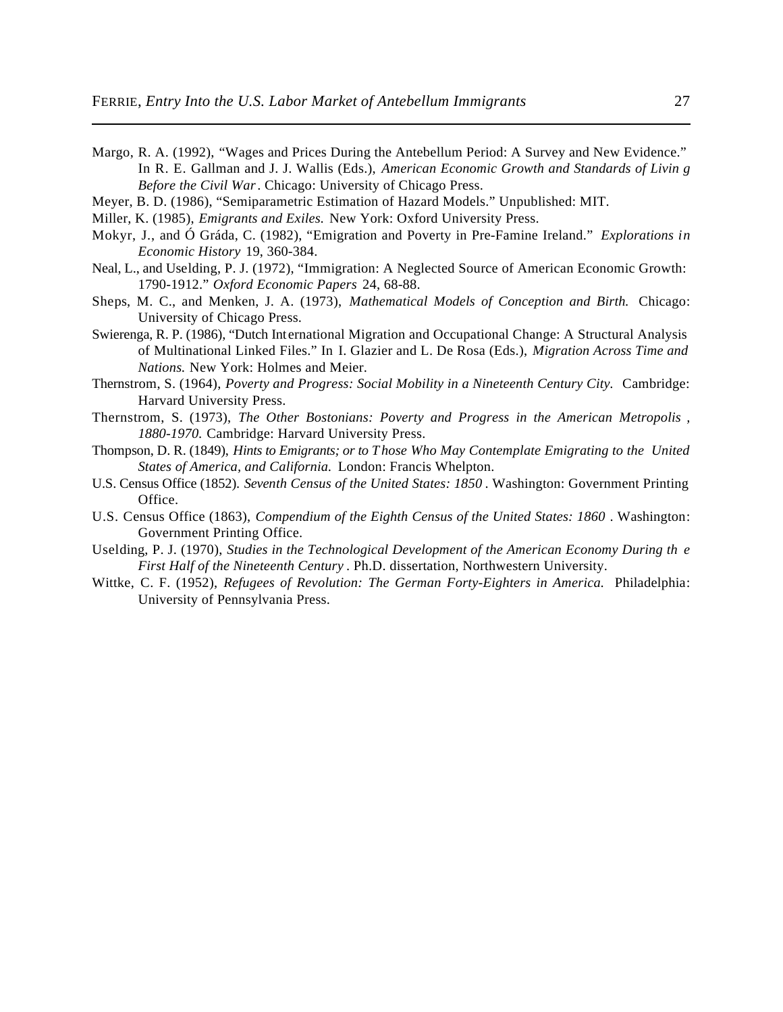- Margo, R. A. (1992), "Wages and Prices During the Antebellum Period: A Survey and New Evidence." In R. E. Gallman and J. J. Wallis (Eds.), *American Economic Growth and Standards of Livin g Before the Civil War* . Chicago: University of Chicago Press.
- Meyer, B. D. (1986), "Semiparametric Estimation of Hazard Models." Unpublished: MIT.
- Miller, K. (1985), *Emigrants and Exiles.* New York: Oxford University Press.
- Mokyr, J., and Ó Gráda, C. (1982), "Emigration and Poverty in Pre-Famine Ireland." *Explorations in Economic History* 19, 360-384.
- Neal, L., and Uselding, P. J. (1972), "Immigration: A Neglected Source of American Economic Growth: 1790-1912." *Oxford Economic Papers* 24, 68-88.
- Sheps, M. C., and Menken, J. A. (1973), *Mathematical Models of Conception and Birth.* Chicago: University of Chicago Press.
- Swierenga, R. P. (1986), "Dutch International Migration and Occupational Change: A Structural Analysis of Multinational Linked Files." In I. Glazier and L. De Rosa (Eds.), *Migration Across Time and Nations.* New York: Holmes and Meier.
- Thernstrom, S. (1964), *Poverty and Progress: Social Mobility in a Nineteenth Century City.* Cambridge: Harvard University Press.
- Thernstrom, S. (1973), *The Other Bostonians: Poverty and Progress in the American Metropolis , 1880-1970.* Cambridge: Harvard University Press.
- Thompson, D. R. (1849), *Hints to Emigrants; or to Those Who May Contemplate Emigrating to the United States of America, and California.* London: Francis Whelpton.
- U.S. Census Office (1852). *Seventh Census of the United States: 1850* . Washington: Government Printing Office.
- U.S. Census Office (1863), *Compendium of the Eighth Census of the United States: 1860* . Washington: Government Printing Office.
- Uselding, P. J. (1970), *Studies in the Technological Development of the American Economy During th e First Half of the Nineteenth Century* . Ph.D. dissertation, Northwestern University.
- Wittke, C. F. (1952), *Refugees of Revolution: The German Forty-Eighters in America.* Philadelphia: University of Pennsylvania Press.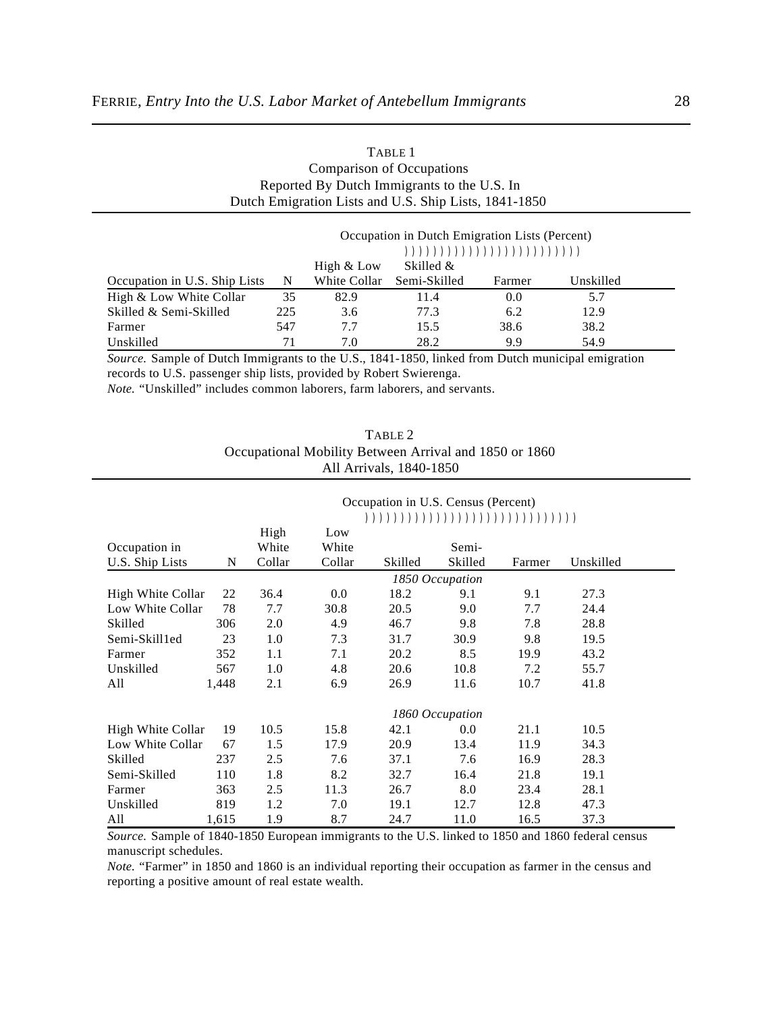| <b>Comparison of Occupations</b>            |                         |              |                                                       |        |           |  |  |  |
|---------------------------------------------|-------------------------|--------------|-------------------------------------------------------|--------|-----------|--|--|--|
| Reported By Dutch Immigrants to the U.S. In |                         |              |                                                       |        |           |  |  |  |
|                                             |                         |              | Dutch Emigration Lists and U.S. Ship Lists, 1841-1850 |        |           |  |  |  |
|                                             |                         |              |                                                       |        |           |  |  |  |
|                                             |                         |              | Occupation in Dutch Emigration Lists (Percent)        |        |           |  |  |  |
|                                             |                         |              |                                                       |        |           |  |  |  |
|                                             | Skilled &<br>High & Low |              |                                                       |        |           |  |  |  |
| Occupation in U.S. Ship Lists               | N                       | White Collar | Semi-Skilled                                          | Farmer | Unskilled |  |  |  |
| High & Low White Collar                     | 35                      | 82.9         | 11.4                                                  | 0.0    | 5.7       |  |  |  |
| Skilled & Semi-Skilled                      | 225                     | 3.6          | 77.3                                                  | 6.2    | 12.9      |  |  |  |
| Farmer                                      | 547                     | 7.7          | 15.5                                                  | 38.6   | 38.2      |  |  |  |
| Unskilled                                   | 71                      | 7.0          | 28.2                                                  | 9.9    | 54.9      |  |  |  |

TABLE 1

*Source.* Sample of Dutch Immigrants to the U.S., 1841-1850, linked from Dutch municipal emigration records to U.S. passenger ship lists, provided by Robert Swierenga. *Note.* "Unskilled" includes common laborers, farm laborers, and servants.

| TABLE 2                                                |
|--------------------------------------------------------|
| Occupational Mobility Between Arrival and 1850 or 1860 |
| All Arrivals, 1840-1850                                |

|                   |       |        |         | Occupation in U.S. Census (Percent) |                 |        |           |  |
|-------------------|-------|--------|---------|-------------------------------------|-----------------|--------|-----------|--|
|                   |       |        |         |                                     |                 |        |           |  |
|                   |       | High   | Low     |                                     |                 |        |           |  |
| Occupation in     |       | White  | White   |                                     | Semi-           |        |           |  |
| U.S. Ship Lists   | N     | Collar | Collar  | Skilled                             | Skilled         | Farmer | Unskilled |  |
|                   |       |        |         |                                     | 1850 Occupation |        |           |  |
| High White Collar | 22    | 36.4   | $0.0\,$ | 18.2                                | 9.1             | 9.1    | 27.3      |  |
| Low White Collar  | 78    | 7.7    | 30.8    | 20.5                                | 9.0             | 7.7    | 24.4      |  |
| Skilled           | 306   | 2.0    | 4.9     | 46.7                                | 9.8             | 7.8    | 28.8      |  |
| Semi-Skill1ed     | 23    | 1.0    | 7.3     | 31.7                                | 30.9            | 9.8    | 19.5      |  |
| Farmer            | 352   | 1.1    | 7.1     | 20.2                                | 8.5             | 19.9   | 43.2      |  |
| Unskilled         | 567   | 1.0    | 4.8     | 20.6                                | 10.8            | 7.2    | 55.7      |  |
| All               | 1,448 | 2.1    | 6.9     | 26.9                                | 11.6            | 10.7   | 41.8      |  |
|                   |       |        |         |                                     | 1860 Occupation |        |           |  |
| High White Collar | 19    | 10.5   | 15.8    | 42.1                                | 0.0             | 21.1   | 10.5      |  |
| Low White Collar  | 67    | 1.5    | 17.9    | 20.9                                | 13.4            | 11.9   | 34.3      |  |
| Skilled           | 237   | 2.5    | 7.6     | 37.1                                | 7.6             | 16.9   | 28.3      |  |
| Semi-Skilled      | 110   | 1.8    | 8.2     | 32.7                                | 16.4            | 21.8   | 19.1      |  |
| Farmer            | 363   | 2.5    | 11.3    | 26.7                                | 8.0             | 23.4   | 28.1      |  |
| Unskilled         | 819   | 1.2    | 7.0     | 19.1                                | 12.7            | 12.8   | 47.3      |  |
| All               | 1,615 | 1.9    | 8.7     | 24.7                                | 11.0            | 16.5   | 37.3      |  |

*Source.* Sample of 1840-1850 European immigrants to the U.S. linked to 1850 and 1860 federal census manuscript schedules.

*Note.* "Farmer" in 1850 and 1860 is an individual reporting their occupation as farmer in the census and reporting a positive amount of real estate wealth.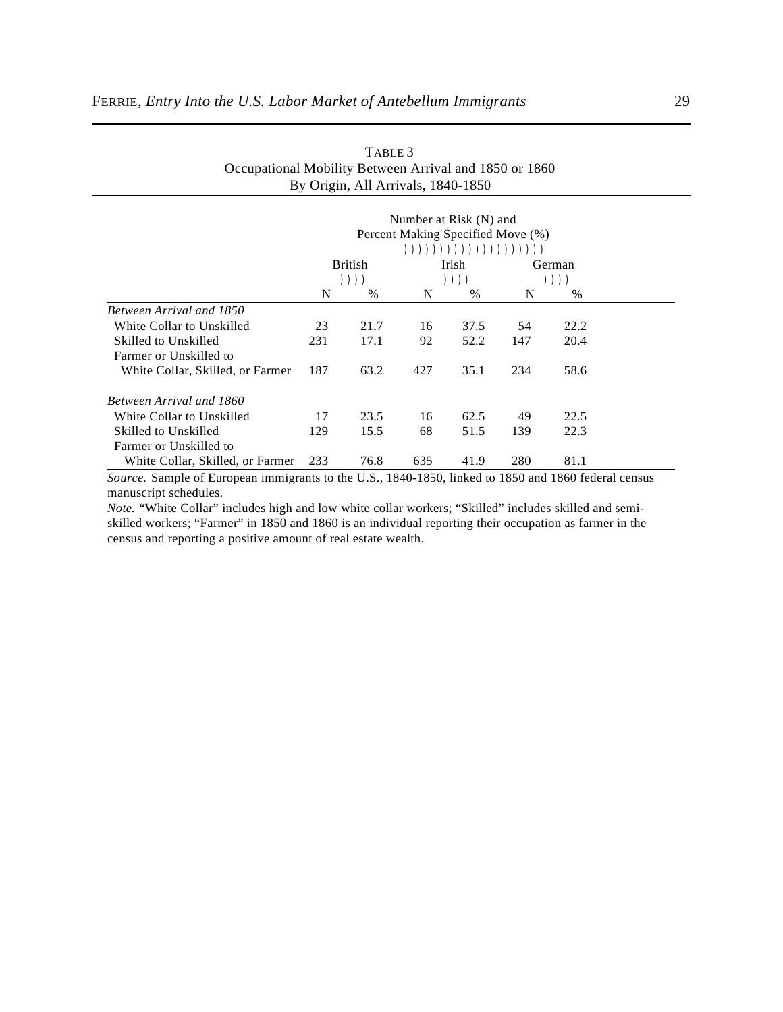|                                  |     |                        | Number at Risk (N) and<br>Percent Making Specified Move (%) | $( ( ) ( ) ( ) ( ) ( ( ) ( ) ( ) ( ) ( ) ( ) ( ) ( ) ( ) ( )$ |     |                |
|----------------------------------|-----|------------------------|-------------------------------------------------------------|---------------------------------------------------------------|-----|----------------|
|                                  |     | <b>British</b><br>)))) |                                                             | Irish<br>$))$ )                                               |     | German<br>)))) |
|                                  | N   | $\%$                   | N                                                           | $\%$                                                          | N   | $\%$           |
| Between Arrival and 1850         |     |                        |                                                             |                                                               |     |                |
| White Collar to Unskilled        | 23  | 21.7                   | 16                                                          | 37.5                                                          | 54  | 22.2           |
| Skilled to Unskilled             | 231 | 17.1                   | 92                                                          | 52.2                                                          | 147 | 20.4           |
| Farmer or Unskilled to           |     |                        |                                                             |                                                               |     |                |
| White Collar, Skilled, or Farmer | 187 | 63.2                   | 427                                                         | 35.1                                                          | 234 | 58.6           |
| Between Arrival and 1860         |     |                        |                                                             |                                                               |     |                |
| White Collar to Unskilled        | 17  | 23.5                   | 16                                                          | 62.5                                                          | 49  | 22.5           |
| Skilled to Unskilled             | 129 | 15.5                   | 68                                                          | 51.5                                                          | 139 | 22.3           |
| Farmer or Unskilled to           |     |                        |                                                             |                                                               |     |                |
| White Collar, Skilled, or Farmer | 233 | 76.8                   | 635                                                         | 41.9                                                          | 280 | 81.1           |

### TABLE 3 Occupational Mobility Between Arrival and 1850 or 1860 By Origin, All Arrivals, 1840-1850

*Source.* Sample of European immigrants to the U.S., 1840-1850, linked to 1850 and 1860 federal census manuscript schedules.

*Note.* "White Collar" includes high and low white collar workers; "Skilled" includes skilled and semiskilled workers; "Farmer" in 1850 and 1860 is an individual reporting their occupation as farmer in the census and reporting a positive amount of real estate wealth.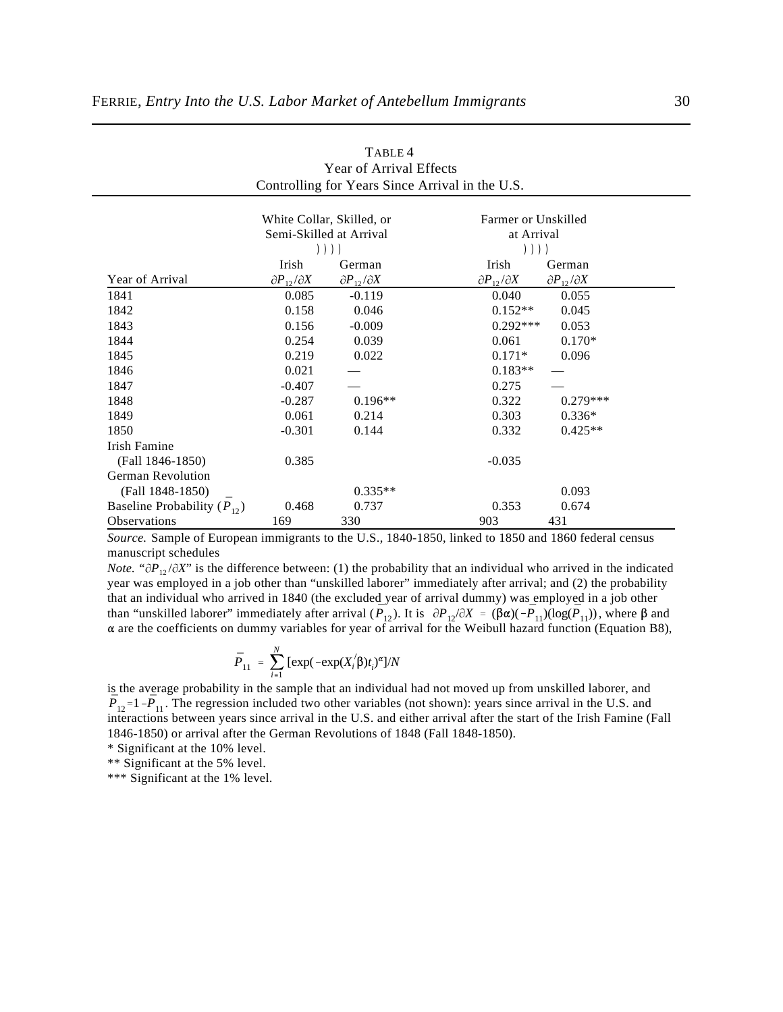|                                       |                              | White Collar, Skilled, or    | Farmer or Unskilled          |                              |
|---------------------------------------|------------------------------|------------------------------|------------------------------|------------------------------|
|                                       |                              | Semi-Skilled at Arrival      | at Arrival                   |                              |
|                                       |                              | ))))                         | ))))                         |                              |
|                                       | Irish                        | German                       | Irish                        | German                       |
| Year of Arrival                       | $\partial P_{12}/\partial X$ | $\partial P_{12}/\partial X$ | $\partial P_{12}/\partial X$ | $\partial P_{12}/\partial X$ |
| 1841                                  | 0.085                        | $-0.119$                     | 0.040                        | 0.055                        |
| 1842                                  | 0.158                        | 0.046                        | $0.152**$                    | 0.045                        |
| 1843                                  | 0.156                        | $-0.009$                     | $0.292***$                   | 0.053                        |
| 1844                                  | 0.254                        | 0.039                        | 0.061                        | $0.170*$                     |
| 1845                                  | 0.219                        | 0.022                        | $0.171*$                     | 0.096                        |
| 1846                                  | 0.021                        |                              | $0.183**$                    |                              |
| 1847                                  | $-0.407$                     |                              | 0.275                        |                              |
| 1848                                  | $-0.287$                     | $0.196**$                    | 0.322                        | $0.279***$                   |
| 1849                                  | 0.061                        | 0.214                        | 0.303                        | $0.336*$                     |
| 1850                                  | $-0.301$                     | 0.144                        | 0.332                        | $0.425**$                    |
| Irish Famine                          |                              |                              |                              |                              |
| (Fall 1846-1850)                      | 0.385                        |                              | $-0.035$                     |                              |
| <b>German Revolution</b>              |                              |                              |                              |                              |
| (Fall 1848-1850)                      |                              | $0.335**$                    |                              | 0.093                        |
| Baseline Probability $(\bar{P}_{12})$ | 0.468                        | 0.737                        | 0.353                        | 0.674                        |
| Observations                          | 169                          | 330                          | 903                          | 431                          |

| TABLE 4                                         |
|-------------------------------------------------|
| <b>Year of Arrival Effects</b>                  |
| Controlling for Years Since Arrival in the U.S. |

*Source.* Sample of European immigrants to the U.S., 1840-1850, linked to 1850 and 1860 federal census manuscript schedules

than "unskilled laborer" immediately after arrival  $(\bar{P}_{12})$ . It is  $\partial P_{12}/\partial X = (\beta \alpha)(-\bar{P}_{11})(\log(\bar{P}_{11}))$ , where  $\beta$  and *Note.* " $\partial P_{12}/\partial X$ " is the difference between: (1) the probability that an individual who arrived in the indicated year was employed in a job other than "unskilled laborer" immediately after arrival; and (2) the probability that an individual who arrived in 1840 (the excluded year of arrival dummy) was employed in a job other are the coefficients on dummy variables for year of arrival for the Weibull hazard function (Equation B8),

$$
\bar{P}_{11} = \sum_{i=1}^{N} [\exp(-\exp(X_i/\beta)t_i)^{\alpha}]/N
$$

 $\bar{P}_{12}$ =1 - $\bar{P}_{11}$ . The regression included two other variables (not shown): years since arrival in the U.S. and is the average probability in the sample that an individual had not moved up from unskilled laborer, and interactions between years since arrival in the U.S. and either arrival after the start of the Irish Famine (Fall 1846-1850) or arrival after the German Revolutions of 1848 (Fall 1848-1850).

\* Significant at the 10% level.

\*\* Significant at the 5% level.

\*\*\* Significant at the 1% level.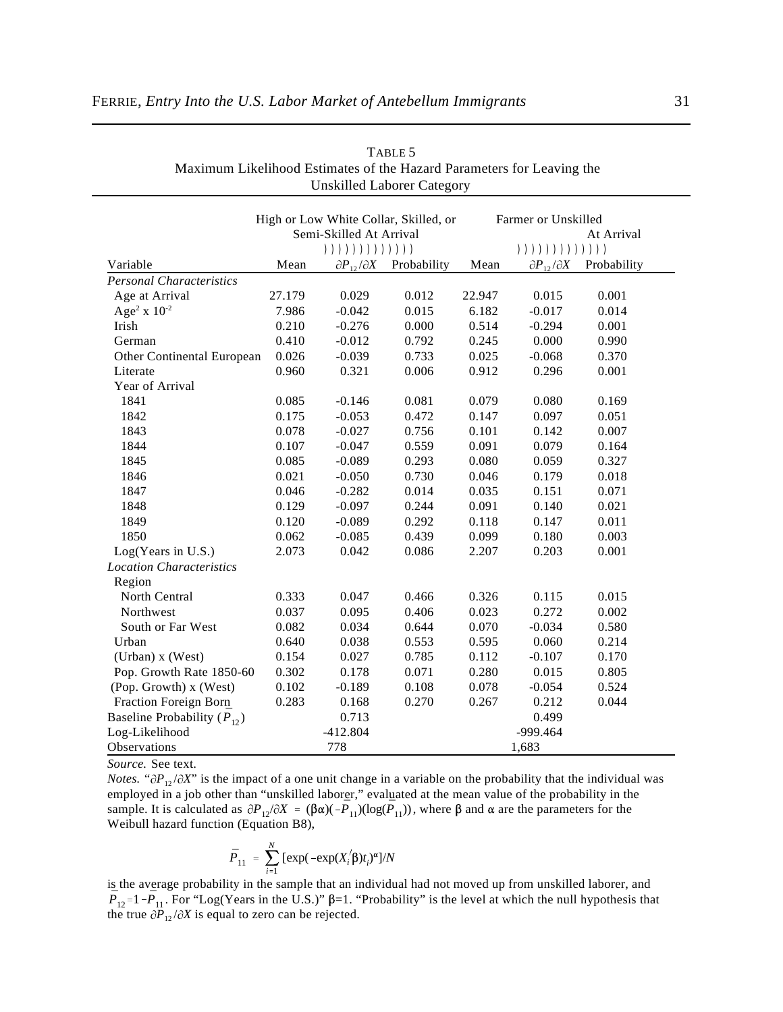| TABLE 5<br>Maximum Likelihood Estimates of the Hazard Parameters for Leaving the<br>Unskilled Laborer Category |                     |
|----------------------------------------------------------------------------------------------------------------|---------------------|
| High or Low White Collar, Skilled, or                                                                          | Farmer or Unskilled |

|                                       | righ of Low while Collar, Skilled, or |                                 |             |            | Parmer of Unskilled          |             |  |
|---------------------------------------|---------------------------------------|---------------------------------|-------------|------------|------------------------------|-------------|--|
|                                       | Semi-Skilled At Arrival               |                                 |             | At Arrival |                              |             |  |
|                                       |                                       | ( ) ) ) ) ) ) ) ) ) ) ) ) ) ) ) |             |            | ))))))))))))))               |             |  |
| Variable                              | Mean                                  | $\partial P_{12}/\partial X$    | Probability | Mean       | $\partial P_{12}/\partial X$ | Probability |  |
| <b>Personal Characteristics</b>       |                                       |                                 |             |            |                              |             |  |
| Age at Arrival                        | 27.179                                | 0.029                           | 0.012       | 22.947     | 0.015                        | 0.001       |  |
| Age <sup>2</sup> x $10^{-2}$          | 7.986                                 | $-0.042$                        | 0.015       | 6.182      | $-0.017$                     | 0.014       |  |
| Irish                                 | 0.210                                 | $-0.276$                        | 0.000       | 0.514      | $-0.294$                     | 0.001       |  |
| German                                | 0.410                                 | $-0.012$                        | 0.792       | 0.245      | 0.000                        | 0.990       |  |
| Other Continental European            | 0.026                                 | $-0.039$                        | 0.733       | 0.025      | $-0.068$                     | 0.370       |  |
| Literate                              | 0.960                                 | 0.321                           | 0.006       | 0.912      | 0.296                        | 0.001       |  |
| Year of Arrival                       |                                       |                                 |             |            |                              |             |  |
| 1841                                  | 0.085                                 | $-0.146$                        | 0.081       | 0.079      | 0.080                        | 0.169       |  |
| 1842                                  | 0.175                                 | $-0.053$                        | 0.472       | 0.147      | 0.097                        | 0.051       |  |
| 1843                                  | 0.078                                 | $-0.027$                        | 0.756       | 0.101      | 0.142                        | 0.007       |  |
| 1844                                  | 0.107                                 | $-0.047$                        | 0.559       | 0.091      | 0.079                        | 0.164       |  |
| 1845                                  | 0.085                                 | $-0.089$                        | 0.293       | 0.080      | 0.059                        | 0.327       |  |
| 1846                                  | 0.021                                 | $-0.050$                        | 0.730       | 0.046      | 0.179                        | 0.018       |  |
| 1847                                  | 0.046                                 | $-0.282$                        | 0.014       | 0.035      | 0.151                        | 0.071       |  |
| 1848                                  | 0.129                                 | $-0.097$                        | 0.244       | 0.091      | 0.140                        | 0.021       |  |
| 1849                                  | 0.120                                 | $-0.089$                        | 0.292       | 0.118      | 0.147                        | 0.011       |  |
| 1850                                  | 0.062                                 | $-0.085$                        | 0.439       | 0.099      | 0.180                        | 0.003       |  |
| Log(Years in U.S.)                    | 2.073                                 | 0.042                           | 0.086       | 2.207      | 0.203                        | 0.001       |  |
| <b>Location Characteristics</b>       |                                       |                                 |             |            |                              |             |  |
| Region                                |                                       |                                 |             |            |                              |             |  |
| North Central                         | 0.333                                 | 0.047                           | 0.466       | 0.326      | 0.115                        | 0.015       |  |
| Northwest                             | 0.037                                 | 0.095                           | 0.406       | 0.023      | 0.272                        | 0.002       |  |
| South or Far West                     | 0.082                                 | 0.034                           | 0.644       | 0.070      | $-0.034$                     | 0.580       |  |
| Urban                                 | 0.640                                 | 0.038                           | 0.553       | 0.595      | 0.060                        | 0.214       |  |
| (Urban) x (West)                      | 0.154                                 | 0.027                           | 0.785       | 0.112      | $-0.107$                     | 0.170       |  |
| Pop. Growth Rate 1850-60              | 0.302                                 | 0.178                           | 0.071       | 0.280      | 0.015                        | 0.805       |  |
| (Pop. Growth) x (West)                | 0.102                                 | $-0.189$                        | 0.108       | 0.078      | $-0.054$                     | 0.524       |  |
| Fraction Foreign Born                 | 0.283                                 | 0.168                           | 0.270       | 0.267      | 0.212                        | 0.044       |  |
| Baseline Probability $(\bar{P}_{12})$ |                                       | 0.713                           |             |            | 0.499                        |             |  |
| Log-Likelihood                        |                                       | $-412.804$                      |             |            | -999.464                     |             |  |
| <b>Observations</b>                   |                                       | 778                             |             |            | 1,683                        |             |  |

*Source.* See text.

sample. It is calculated as  $\partial P_{12}/\partial X = (\beta \alpha)(-\bar{P}_{11})(\log(\bar{P}_{11}))$ , where  $\beta$  and  $\alpha$  are the parameters for the *Notes.* " $\partial P_{12}/\partial X$ " is the impact of a one unit change in a variable on the probability that the individual was employed in a job other than "unskilled laborer," evaluated at the mean value of the probability in the Weibull hazard function (Equation B8),

$$
\bar{P}_{11} = \sum_{i=1}^{N} \left[ \exp(-\exp(X_i/\beta)t_i)^{\alpha} \right] / N
$$

 $\bar{P}_{12}$ =1 - $\bar{P}_{11}$ . For "Log(Years in the U.S.)"  $\beta$ =1. "Probability" is the level at which the null hypothesis that is the average probability in the sample that an individual had not moved up from unskilled laborer, and the true  $\partial P_{12}/\partial X$  is equal to zero can be rejected.